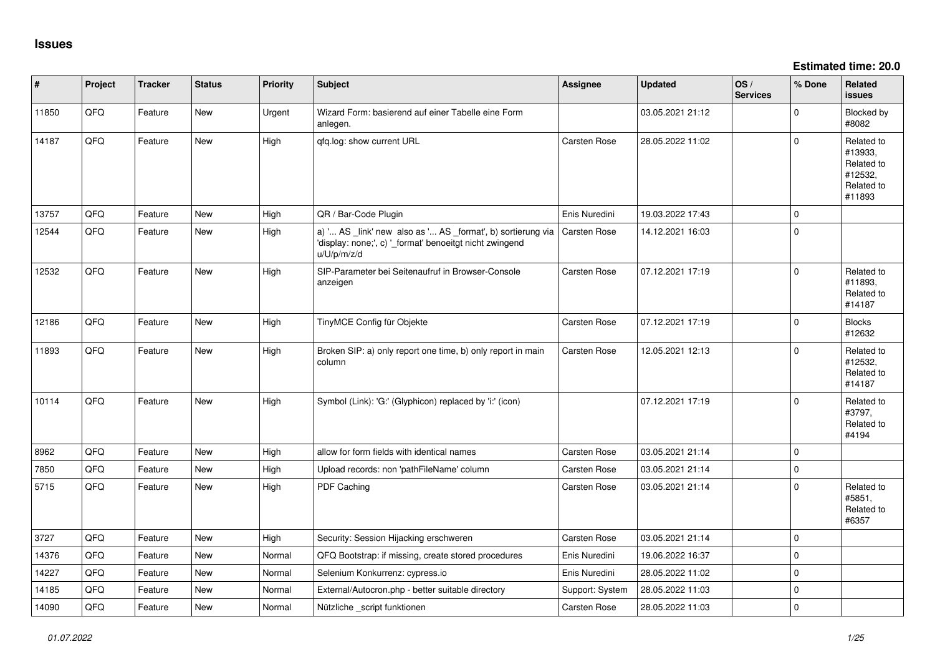**Estimated time: 20.0**

| #     | Project | <b>Tracker</b> | <b>Status</b> | <b>Priority</b> | Subject                                                                                                                               | <b>Assignee</b>     | Updated          | OS/<br><b>Services</b> | % Done      | Related<br>issues                                                      |
|-------|---------|----------------|---------------|-----------------|---------------------------------------------------------------------------------------------------------------------------------------|---------------------|------------------|------------------------|-------------|------------------------------------------------------------------------|
| 11850 | QFQ     | Feature        | New           | Urgent          | Wizard Form: basierend auf einer Tabelle eine Form<br>anlegen.                                                                        |                     | 03.05.2021 21:12 |                        | $\mathbf 0$ | <b>Blocked by</b><br>#8082                                             |
| 14187 | QFQ     | Feature        | New           | High            | qfq.log: show current URL                                                                                                             | Carsten Rose        | 28.05.2022 11:02 |                        | $\mathbf 0$ | Related to<br>#13933,<br>Related to<br>#12532,<br>Related to<br>#11893 |
| 13757 | QFQ     | Feature        | <b>New</b>    | High            | QR / Bar-Code Plugin                                                                                                                  | Enis Nuredini       | 19.03.2022 17:43 |                        | 0           |                                                                        |
| 12544 | QFQ     | Feature        | <b>New</b>    | High            | a) ' AS _link' new also as ' AS _format', b) sortierung via<br>'display: none;', c) '_format' benoeitgt nicht zwingend<br>u/U/p/m/z/d | <b>Carsten Rose</b> | 14.12.2021 16:03 |                        | 0           |                                                                        |
| 12532 | QFQ     | Feature        | <b>New</b>    | High            | SIP-Parameter bei Seitenaufruf in Browser-Console<br>anzeigen                                                                         | Carsten Rose        | 07.12.2021 17:19 |                        | $\mathbf 0$ | Related to<br>#11893,<br>Related to<br>#14187                          |
| 12186 | QFQ     | Feature        | <b>New</b>    | High            | TinyMCE Config für Objekte                                                                                                            | Carsten Rose        | 07.12.2021 17:19 |                        | 0           | <b>Blocks</b><br>#12632                                                |
| 11893 | QFQ     | Feature        | <b>New</b>    | High            | Broken SIP: a) only report one time, b) only report in main<br>column                                                                 | Carsten Rose        | 12.05.2021 12:13 |                        | $\Omega$    | Related to<br>#12532,<br>Related to<br>#14187                          |
| 10114 | QFQ     | Feature        | <b>New</b>    | High            | Symbol (Link): 'G:' (Glyphicon) replaced by 'i:' (icon)                                                                               |                     | 07.12.2021 17:19 |                        | $\Omega$    | Related to<br>#3797,<br>Related to<br>#4194                            |
| 8962  | QFQ     | Feature        | New           | High            | allow for form fields with identical names                                                                                            | Carsten Rose        | 03.05.2021 21:14 |                        | 0           |                                                                        |
| 7850  | QFQ     | Feature        | <b>New</b>    | High            | Upload records: non 'pathFileName' column                                                                                             | Carsten Rose        | 03.05.2021 21:14 |                        | 0           |                                                                        |
| 5715  | QFQ     | Feature        | <b>New</b>    | High            | PDF Caching                                                                                                                           | Carsten Rose        | 03.05.2021 21:14 |                        | 0           | Related to<br>#5851,<br>Related to<br>#6357                            |
| 3727  | QFQ     | Feature        | <b>New</b>    | High            | Security: Session Hijacking erschweren                                                                                                | Carsten Rose        | 03.05.2021 21:14 |                        | $\mathbf 0$ |                                                                        |
| 14376 | QFQ     | Feature        | <b>New</b>    | Normal          | QFQ Bootstrap: if missing, create stored procedures                                                                                   | Enis Nuredini       | 19.06.2022 16:37 |                        | 0           |                                                                        |
| 14227 | QFQ     | Feature        | New           | Normal          | Selenium Konkurrenz: cypress.io                                                                                                       | Enis Nuredini       | 28.05.2022 11:02 |                        | $\pmb{0}$   |                                                                        |
| 14185 | QFQ     | Feature        | New           | Normal          | External/Autocron.php - better suitable directory                                                                                     | Support: System     | 28.05.2022 11:03 |                        | $\pmb{0}$   |                                                                        |
| 14090 | QFQ     | Feature        | New           | Normal          | Nützliche _script funktionen                                                                                                          | <b>Carsten Rose</b> | 28.05.2022 11:03 |                        | $\mathbf 0$ |                                                                        |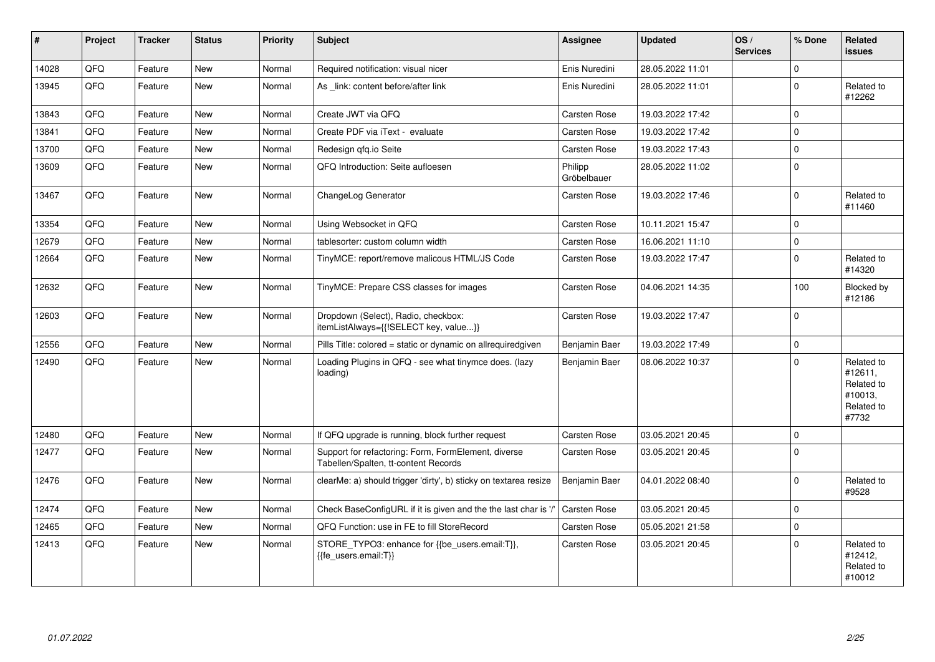| $\vert$ # | Project | <b>Tracker</b> | <b>Status</b> | <b>Priority</b> | <b>Subject</b>                                                                              | <b>Assignee</b>        | <b>Updated</b>   | OS/<br><b>Services</b> | % Done              | Related<br><b>issues</b>                                              |
|-----------|---------|----------------|---------------|-----------------|---------------------------------------------------------------------------------------------|------------------------|------------------|------------------------|---------------------|-----------------------------------------------------------------------|
| 14028     | QFQ     | Feature        | <b>New</b>    | Normal          | Required notification: visual nicer                                                         | Enis Nuredini          | 28.05.2022 11:01 |                        | 0                   |                                                                       |
| 13945     | QFQ     | Feature        | New           | Normal          | As link: content before/after link                                                          | Enis Nuredini          | 28.05.2022 11:01 |                        | $\mathbf 0$         | Related to<br>#12262                                                  |
| 13843     | QFQ     | Feature        | <b>New</b>    | Normal          | Create JWT via QFQ                                                                          | Carsten Rose           | 19.03.2022 17:42 |                        | $\mathbf 0$         |                                                                       |
| 13841     | QFQ     | Feature        | <b>New</b>    | Normal          | Create PDF via iText - evaluate                                                             | <b>Carsten Rose</b>    | 19.03.2022 17:42 |                        | $\Omega$            |                                                                       |
| 13700     | QFO     | Feature        | New           | Normal          | Redesign gfg.io Seite                                                                       | Carsten Rose           | 19.03.2022 17:43 |                        | $\pmb{0}$           |                                                                       |
| 13609     | QFQ     | Feature        | <b>New</b>    | Normal          | QFQ Introduction: Seite aufloesen                                                           | Philipp<br>Gröbelbauer | 28.05.2022 11:02 |                        | $\mathbf 0$         |                                                                       |
| 13467     | QFQ     | Feature        | <b>New</b>    | Normal          | ChangeLog Generator                                                                         | <b>Carsten Rose</b>    | 19.03.2022 17:46 |                        | $\mathbf 0$         | Related to<br>#11460                                                  |
| 13354     | QFQ     | Feature        | <b>New</b>    | Normal          | Using Websocket in QFQ                                                                      | <b>Carsten Rose</b>    | 10.11.2021 15:47 |                        | $\mathbf 0$         |                                                                       |
| 12679     | QFQ     | Feature        | <b>New</b>    | Normal          | tablesorter: custom column width                                                            | Carsten Rose           | 16.06.2021 11:10 |                        | $\mathsf{O}\xspace$ |                                                                       |
| 12664     | QFQ     | Feature        | New           | Normal          | TinyMCE: report/remove malicous HTML/JS Code                                                | <b>Carsten Rose</b>    | 19.03.2022 17:47 |                        | $\Omega$            | Related to<br>#14320                                                  |
| 12632     | QFQ     | Feature        | <b>New</b>    | Normal          | TinyMCE: Prepare CSS classes for images                                                     | Carsten Rose           | 04.06.2021 14:35 |                        | 100                 | Blocked by<br>#12186                                                  |
| 12603     | QFQ     | Feature        | New           | Normal          | Dropdown (Select), Radio, checkbox:<br>itemListAlways={{!SELECT key, value}}                | Carsten Rose           | 19.03.2022 17:47 |                        | $\mathbf 0$         |                                                                       |
| 12556     | QFQ     | Feature        | <b>New</b>    | Normal          | Pills Title: colored = static or dynamic on allrequiredgiven                                | Benjamin Baer          | 19.03.2022 17:49 |                        | $\mathbf 0$         |                                                                       |
| 12490     | QFQ     | Feature        | <b>New</b>    | Normal          | Loading Plugins in QFQ - see what tinymce does. (lazy<br>loading)                           | Benjamin Baer          | 08.06.2022 10:37 |                        | $\Omega$            | Related to<br>#12611,<br>Related to<br>#10013,<br>Related to<br>#7732 |
| 12480     | QFQ     | Feature        | <b>New</b>    | Normal          | If QFQ upgrade is running, block further request                                            | Carsten Rose           | 03.05.2021 20:45 |                        | $\mathbf 0$         |                                                                       |
| 12477     | QFQ     | Feature        | New           | Normal          | Support for refactoring: Form, FormElement, diverse<br>Tabellen/Spalten, tt-content Records | <b>Carsten Rose</b>    | 03.05.2021 20:45 |                        | $\Omega$            |                                                                       |
| 12476     | QFQ     | Feature        | <b>New</b>    | Normal          | clearMe: a) should trigger 'dirty', b) sticky on textarea resize                            | Benjamin Baer          | 04.01.2022 08:40 |                        | $\Omega$            | Related to<br>#9528                                                   |
| 12474     | QFO     | Feature        | <b>New</b>    | Normal          | Check BaseConfigURL if it is given and the the last char is '/'                             | Carsten Rose           | 03.05.2021 20:45 |                        | $\mathbf 0$         |                                                                       |
| 12465     | QFQ     | Feature        | <b>New</b>    | Normal          | QFQ Function: use in FE to fill StoreRecord                                                 | Carsten Rose           | 05.05.2021 21:58 |                        | $\mathbf 0$         |                                                                       |
| 12413     | QFQ     | Feature        | <b>New</b>    | Normal          | STORE_TYPO3: enhance for {{be_users.email:T}},<br>{{fe_users.email:T}}                      | <b>Carsten Rose</b>    | 03.05.2021 20:45 |                        | $\mathbf 0$         | Related to<br>#12412,<br>Related to<br>#10012                         |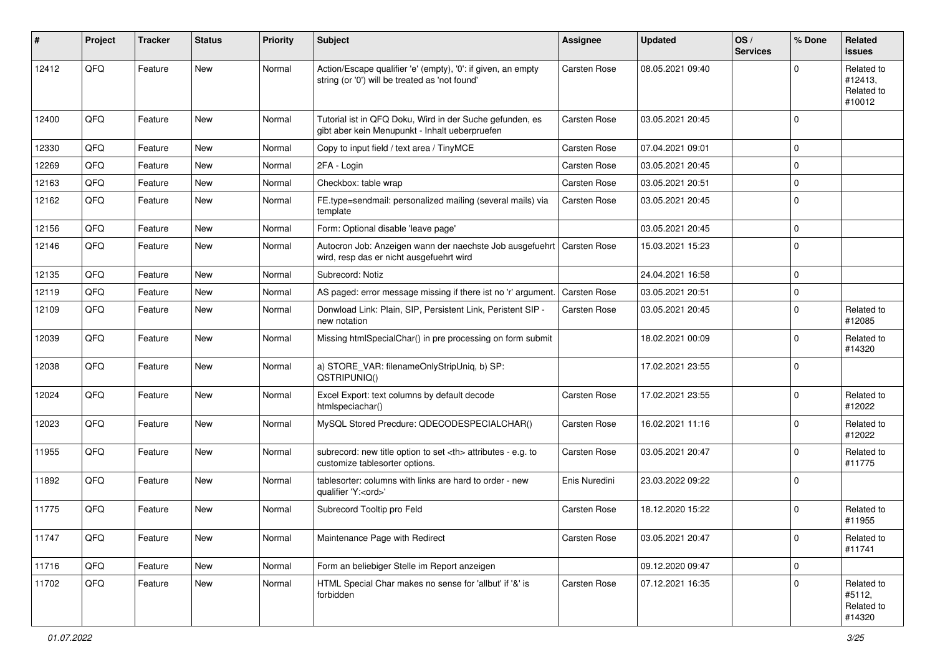| #     | Project | <b>Tracker</b> | <b>Status</b> | <b>Priority</b> | <b>Subject</b>                                                                                                 | <b>Assignee</b>                                        | <b>Updated</b>   | OS/<br><b>Services</b> | % Done      | Related<br>issues                             |                      |
|-------|---------|----------------|---------------|-----------------|----------------------------------------------------------------------------------------------------------------|--------------------------------------------------------|------------------|------------------------|-------------|-----------------------------------------------|----------------------|
| 12412 | QFQ     | Feature        | <b>New</b>    | Normal          | Action/Escape qualifier 'e' (empty), '0': if given, an empty<br>string (or '0') will be treated as 'not found' | Carsten Rose                                           | 08.05.2021 09:40 |                        | $\Omega$    | Related to<br>#12413.<br>Related to<br>#10012 |                      |
| 12400 | QFQ     | Feature        | <b>New</b>    | Normal          | Tutorial ist in QFQ Doku, Wird in der Suche gefunden, es<br>gibt aber kein Menupunkt - Inhalt ueberpruefen     | Carsten Rose                                           | 03.05.2021 20:45 |                        | $\Omega$    |                                               |                      |
| 12330 | QFQ     | Feature        | <b>New</b>    | Normal          | Copy to input field / text area / TinyMCE                                                                      | <b>Carsten Rose</b>                                    | 07.04.2021 09:01 |                        | $\mathbf 0$ |                                               |                      |
| 12269 | QFQ     | Feature        | New           | Normal          | 2FA - Login                                                                                                    | Carsten Rose                                           | 03.05.2021 20:45 |                        | 0           |                                               |                      |
| 12163 | QFQ     | Feature        | <b>New</b>    | Normal          | Checkbox: table wrap                                                                                           | Carsten Rose                                           | 03.05.2021 20:51 |                        | $\mathbf 0$ |                                               |                      |
| 12162 | QFQ     | Feature        | New           | Normal          | FE.type=sendmail: personalized mailing (several mails) via<br>template                                         | <b>Carsten Rose</b>                                    | 03.05.2021 20:45 |                        | $\mathbf 0$ |                                               |                      |
| 12156 | QFQ     | Feature        | <b>New</b>    | Normal          | Form: Optional disable 'leave page'                                                                            |                                                        | 03.05.2021 20:45 |                        | $\mathbf 0$ |                                               |                      |
| 12146 | QFQ     | Feature        | <b>New</b>    | Normal          | Autocron Job: Anzeigen wann der naechste Job ausgefuehrt<br>wird, resp das er nicht ausgefuehrt wird           | Carsten Rose                                           | 15.03.2021 15:23 |                        | 0           |                                               |                      |
| 12135 | QFQ     | Feature        | <b>New</b>    | Normal          | Subrecord: Notiz                                                                                               |                                                        | 24.04.2021 16:58 |                        | $\mathbf 0$ |                                               |                      |
| 12119 | QFQ     | Feature        | New           | Normal          | AS paged: error message missing if there ist no 'r' argument.                                                  | <b>Carsten Rose</b>                                    | 03.05.2021 20:51 |                        | 0           |                                               |                      |
| 12109 | QFQ     | Feature        | New           | Normal          | Donwload Link: Plain, SIP, Persistent Link, Peristent SIP -<br>new notation                                    | Carsten Rose                                           | 03.05.2021 20:45 |                        | $\mathbf 0$ | Related to<br>#12085                          |                      |
| 12039 | QFQ     | Feature        | <b>New</b>    | Normal          | Missing htmlSpecialChar() in pre processing on form submit                                                     |                                                        | 18.02.2021 00:09 |                        | $\Omega$    | Related to<br>#14320                          |                      |
| 12038 | QFQ     | Feature        | New           | Normal          | a) STORE_VAR: filenameOnlyStripUniq, b) SP:<br>QSTRIPUNIQ()                                                    |                                                        | 17.02.2021 23:55 |                        | $\mathbf 0$ |                                               |                      |
| 12024 | QFQ     | Feature        | New           | Normal          | Excel Export: text columns by default decode<br>htmlspeciachar()                                               | Carsten Rose                                           | 17.02.2021 23:55 |                        | $\mathbf 0$ | Related to<br>#12022                          |                      |
| 12023 | QFQ     | Feature        | New           | Normal          | MySQL Stored Precdure: QDECODESPECIALCHAR()                                                                    | <b>Carsten Rose</b>                                    | 16.02.2021 11:16 |                        | $\mathbf 0$ | Related to<br>#12022                          |                      |
| 11955 | QFQ     | Feature        | New           | Normal          | subrecord: new title option to set <th> attributes - e.g. to<br/>customize tablesorter options.</th>           | attributes - e.g. to<br>customize tablesorter options. | Carsten Rose     | 03.05.2021 20:47       |             | 0                                             | Related to<br>#11775 |
| 11892 | QFQ     | Feature        | New           | Normal          | tablesorter: columns with links are hard to order - new<br>qualifier 'Y: <ord>'</ord>                          | Enis Nuredini                                          | 23.03.2022 09:22 |                        | $\mathbf 0$ |                                               |                      |
| 11775 | QFQ     | Feature        | <b>New</b>    | Normal          | Subrecord Tooltip pro Feld                                                                                     | Carsten Rose                                           | 18.12.2020 15:22 |                        | $\mathbf 0$ | Related to<br>#11955                          |                      |
| 11747 | QFQ     | Feature        | New           | Normal          | Maintenance Page with Redirect                                                                                 | Carsten Rose                                           | 03.05.2021 20:47 |                        | 0           | Related to<br>#11741                          |                      |
| 11716 | QFQ     | Feature        | New           | Normal          | Form an beliebiger Stelle im Report anzeigen                                                                   |                                                        | 09.12.2020 09:47 |                        | $\mathbf 0$ |                                               |                      |
| 11702 | QFQ     | Feature        | New           | Normal          | HTML Special Char makes no sense for 'allbut' if '&' is<br>forbidden                                           | Carsten Rose                                           | 07.12.2021 16:35 |                        | $\mathbf 0$ | Related to<br>#5112,<br>Related to<br>#14320  |                      |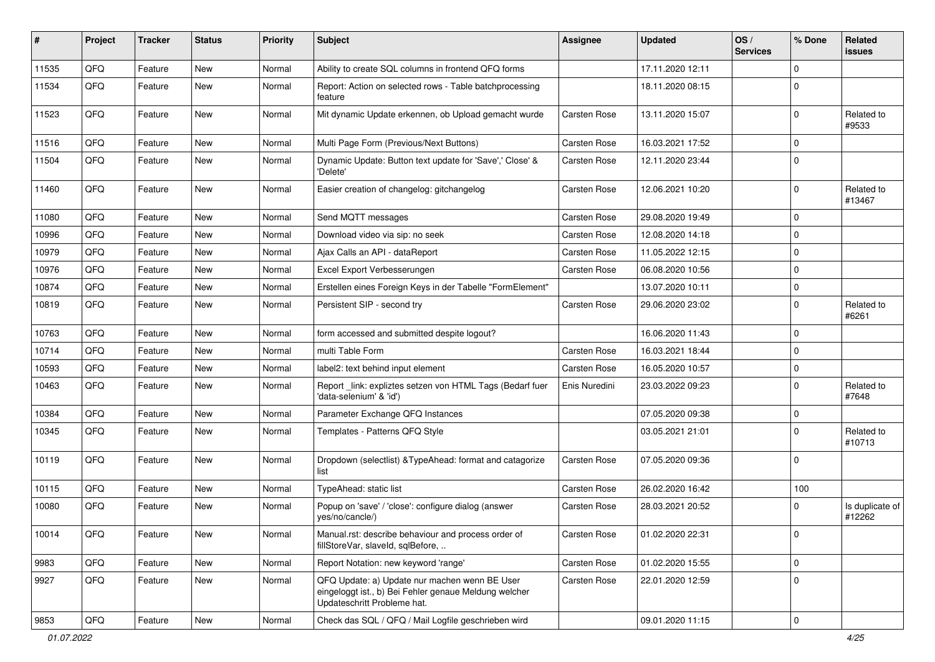| ∦     | Project | <b>Tracker</b> | <b>Status</b> | <b>Priority</b> | Subject                                                                                                                               | <b>Assignee</b>     | <b>Updated</b>   | OS/<br><b>Services</b> | % Done      | Related<br>issues         |
|-------|---------|----------------|---------------|-----------------|---------------------------------------------------------------------------------------------------------------------------------------|---------------------|------------------|------------------------|-------------|---------------------------|
| 11535 | QFQ     | Feature        | <b>New</b>    | Normal          | Ability to create SQL columns in frontend QFQ forms                                                                                   |                     | 17.11.2020 12:11 |                        | $\Omega$    |                           |
| 11534 | QFQ     | Feature        | New           | Normal          | Report: Action on selected rows - Table batchprocessing<br>feature                                                                    |                     | 18.11.2020 08:15 |                        | $\mathbf 0$ |                           |
| 11523 | QFQ     | Feature        | New           | Normal          | Mit dynamic Update erkennen, ob Upload gemacht wurde                                                                                  | Carsten Rose        | 13.11.2020 15:07 |                        | $\mathbf 0$ | Related to<br>#9533       |
| 11516 | QFQ     | Feature        | <b>New</b>    | Normal          | Multi Page Form (Previous/Next Buttons)                                                                                               | <b>Carsten Rose</b> | 16.03.2021 17:52 |                        | $\Omega$    |                           |
| 11504 | QFQ     | Feature        | New           | Normal          | Dynamic Update: Button text update for 'Save',' Close' &<br>'Delete'                                                                  | Carsten Rose        | 12.11.2020 23:44 |                        | $\mathbf 0$ |                           |
| 11460 | QFQ     | Feature        | <b>New</b>    | Normal          | Easier creation of changelog: gitchangelog                                                                                            | <b>Carsten Rose</b> | 12.06.2021 10:20 |                        | $\mathbf 0$ | Related to<br>#13467      |
| 11080 | QFQ     | Feature        | <b>New</b>    | Normal          | Send MQTT messages                                                                                                                    | Carsten Rose        | 29.08.2020 19:49 |                        | $\mathbf 0$ |                           |
| 10996 | QFQ     | Feature        | <b>New</b>    | Normal          | Download video via sip: no seek                                                                                                       | Carsten Rose        | 12.08.2020 14:18 |                        | $\mathbf 0$ |                           |
| 10979 | QFQ     | Feature        | <b>New</b>    | Normal          | Ajax Calls an API - dataReport                                                                                                        | <b>Carsten Rose</b> | 11.05.2022 12:15 |                        | $\mathbf 0$ |                           |
| 10976 | QFQ     | Feature        | New           | Normal          | Excel Export Verbesserungen                                                                                                           | <b>Carsten Rose</b> | 06.08.2020 10:56 |                        | $\mathbf 0$ |                           |
| 10874 | QFQ     | Feature        | New           | Normal          | Erstellen eines Foreign Keys in der Tabelle "FormElement"                                                                             |                     | 13.07.2020 10:11 |                        | $\mathbf 0$ |                           |
| 10819 | QFQ     | Feature        | New           | Normal          | Persistent SIP - second try                                                                                                           | Carsten Rose        | 29.06.2020 23:02 |                        | $\mathbf 0$ | Related to<br>#6261       |
| 10763 | QFQ     | Feature        | <b>New</b>    | Normal          | form accessed and submitted despite logout?                                                                                           |                     | 16.06.2020 11:43 |                        | $\Omega$    |                           |
| 10714 | QFQ     | Feature        | <b>New</b>    | Normal          | multi Table Form                                                                                                                      | Carsten Rose        | 16.03.2021 18:44 |                        | $\mathbf 0$ |                           |
| 10593 | QFQ     | Feature        | <b>New</b>    | Normal          | label2: text behind input element                                                                                                     | Carsten Rose        | 16.05.2020 10:57 |                        | $\mathbf 0$ |                           |
| 10463 | QFQ     | Feature        | New           | Normal          | Report _link: expliztes setzen von HTML Tags (Bedarf fuer<br>'data-selenium' & 'id')                                                  | Enis Nuredini       | 23.03.2022 09:23 |                        | $\mathbf 0$ | Related to<br>#7648       |
| 10384 | QFQ     | Feature        | <b>New</b>    | Normal          | Parameter Exchange QFQ Instances                                                                                                      |                     | 07.05.2020 09:38 |                        | $\mathbf 0$ |                           |
| 10345 | QFQ     | Feature        | <b>New</b>    | Normal          | Templates - Patterns QFQ Style                                                                                                        |                     | 03.05.2021 21:01 |                        | $\Omega$    | Related to<br>#10713      |
| 10119 | QFQ     | Feature        | New           | Normal          | Dropdown (selectlist) & TypeAhead: format and catagorize<br>list                                                                      | Carsten Rose        | 07.05.2020 09:36 |                        | $\mathbf 0$ |                           |
| 10115 | QFQ     | Feature        | <b>New</b>    | Normal          | TypeAhead: static list                                                                                                                | Carsten Rose        | 26.02.2020 16:42 |                        | 100         |                           |
| 10080 | QFQ     | Feature        | New           | Normal          | Popup on 'save' / 'close': configure dialog (answer<br>yes/no/cancle/)                                                                | <b>Carsten Rose</b> | 28.03.2021 20:52 |                        | 0           | Is duplicate of<br>#12262 |
| 10014 | QFQ     | Feature        | New           | Normal          | Manual.rst: describe behaviour and process order of<br>fillStoreVar, slaveId, sqlBefore,                                              | Carsten Rose        | 01.02.2020 22:31 |                        | 0           |                           |
| 9983  | QFQ     | Feature        | New           | Normal          | Report Notation: new keyword 'range'                                                                                                  | Carsten Rose        | 01.02.2020 15:55 |                        | $\mathbf 0$ |                           |
| 9927  | QFQ     | Feature        | New           | Normal          | QFQ Update: a) Update nur machen wenn BE User<br>eingeloggt ist., b) Bei Fehler genaue Meldung welcher<br>Updateschritt Probleme hat. | Carsten Rose        | 22.01.2020 12:59 |                        | $\mathbf 0$ |                           |
| 9853  | QFG     | Feature        | New           | Normal          | Check das SQL / QFQ / Mail Logfile geschrieben wird                                                                                   |                     | 09.01.2020 11:15 |                        | 0           |                           |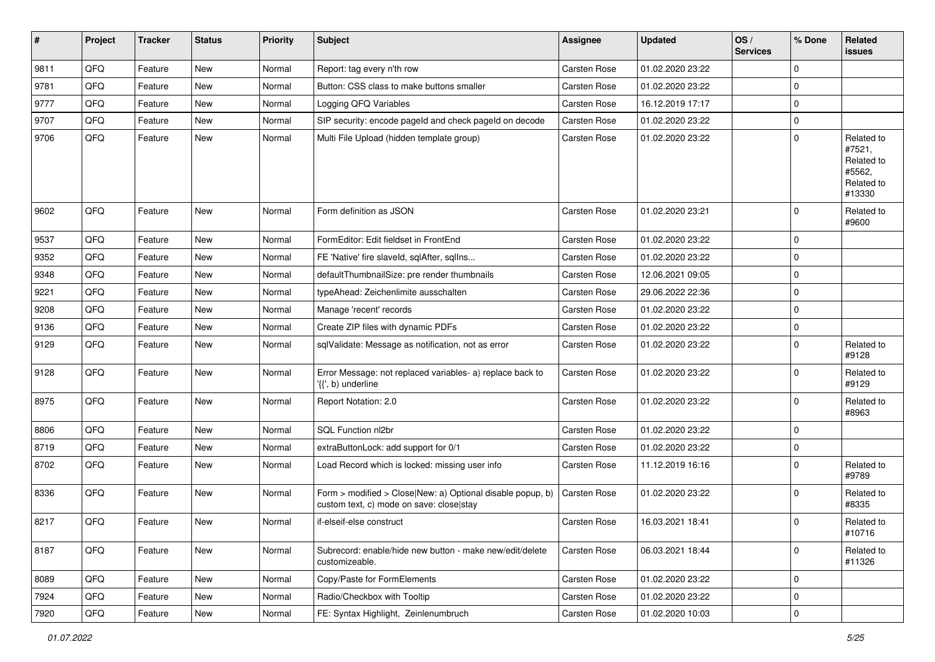| $\vert$ # | Project | <b>Tracker</b> | <b>Status</b> | <b>Priority</b> | <b>Subject</b>                                                                                         | <b>Assignee</b>     | <b>Updated</b>   | OS/<br><b>Services</b> | % Done      | Related<br>issues                                                    |
|-----------|---------|----------------|---------------|-----------------|--------------------------------------------------------------------------------------------------------|---------------------|------------------|------------------------|-------------|----------------------------------------------------------------------|
| 9811      | QFQ     | Feature        | New           | Normal          | Report: tag every n'th row                                                                             | <b>Carsten Rose</b> | 01.02.2020 23:22 |                        | $\mathbf 0$ |                                                                      |
| 9781      | QFQ     | Feature        | <b>New</b>    | Normal          | Button: CSS class to make buttons smaller                                                              | <b>Carsten Rose</b> | 01.02.2020 23:22 |                        | $\mathbf 0$ |                                                                      |
| 9777      | QFQ     | Feature        | New           | Normal          | Logging QFQ Variables                                                                                  | Carsten Rose        | 16.12.2019 17:17 |                        | $\mathbf 0$ |                                                                      |
| 9707      | QFQ     | Feature        | <b>New</b>    | Normal          | SIP security: encode pageld and check pageld on decode                                                 | <b>Carsten Rose</b> | 01.02.2020 23:22 |                        | $\mathbf 0$ |                                                                      |
| 9706      | QFQ     | Feature        | New           | Normal          | Multi File Upload (hidden template group)                                                              | Carsten Rose        | 01.02.2020 23:22 |                        | $\mathbf 0$ | Related to<br>#7521,<br>Related to<br>#5562,<br>Related to<br>#13330 |
| 9602      | QFQ     | Feature        | <b>New</b>    | Normal          | Form definition as JSON                                                                                | Carsten Rose        | 01.02.2020 23:21 |                        | $\Omega$    | Related to<br>#9600                                                  |
| 9537      | QFQ     | Feature        | <b>New</b>    | Normal          | FormEditor: Edit fieldset in FrontEnd                                                                  | <b>Carsten Rose</b> | 01.02.2020 23:22 |                        | $\mathbf 0$ |                                                                      |
| 9352      | QFQ     | Feature        | <b>New</b>    | Normal          | FE 'Native' fire slaveld, sqlAfter, sqlIns                                                             | <b>Carsten Rose</b> | 01.02.2020 23:22 |                        | $\mathbf 0$ |                                                                      |
| 9348      | QFQ     | Feature        | New           | Normal          | defaultThumbnailSize: pre render thumbnails                                                            | <b>Carsten Rose</b> | 12.06.2021 09:05 |                        | $\mathbf 0$ |                                                                      |
| 9221      | QFQ     | Feature        | New           | Normal          | typeAhead: Zeichenlimite ausschalten                                                                   | <b>Carsten Rose</b> | 29.06.2022 22:36 |                        | $\mathbf 0$ |                                                                      |
| 9208      | QFQ     | Feature        | <b>New</b>    | Normal          | Manage 'recent' records                                                                                | <b>Carsten Rose</b> | 01.02.2020 23:22 |                        | $\mathbf 0$ |                                                                      |
| 9136      | QFQ     | Feature        | <b>New</b>    | Normal          | Create ZIP files with dynamic PDFs                                                                     | <b>Carsten Rose</b> | 01.02.2020 23:22 |                        | $\mathbf 0$ |                                                                      |
| 9129      | QFQ     | Feature        | New           | Normal          | sqlValidate: Message as notification, not as error                                                     | Carsten Rose        | 01.02.2020 23:22 |                        | $\Omega$    | Related to<br>#9128                                                  |
| 9128      | QFQ     | Feature        | New           | Normal          | Error Message: not replaced variables- a) replace back to<br>'{{', b) underline                        | <b>Carsten Rose</b> | 01.02.2020 23:22 |                        | $\Omega$    | Related to<br>#9129                                                  |
| 8975      | QFQ     | Feature        | New           | Normal          | Report Notation: 2.0                                                                                   | <b>Carsten Rose</b> | 01.02.2020 23:22 |                        | $\Omega$    | Related to<br>#8963                                                  |
| 8806      | QFQ     | Feature        | <b>New</b>    | Normal          | SQL Function nl2br                                                                                     | <b>Carsten Rose</b> | 01.02.2020 23:22 |                        | $\mathbf 0$ |                                                                      |
| 8719      | QFQ     | Feature        | <b>New</b>    | Normal          | extraButtonLock: add support for 0/1                                                                   | <b>Carsten Rose</b> | 01.02.2020 23:22 |                        | $\mathbf 0$ |                                                                      |
| 8702      | QFQ     | Feature        | New           | Normal          | Load Record which is locked: missing user info                                                         | Carsten Rose        | 11.12.2019 16:16 |                        | $\Omega$    | Related to<br>#9789                                                  |
| 8336      | QFQ     | Feature        | New           | Normal          | Form > modified > Close New: a) Optional disable popup, b)<br>custom text, c) mode on save: close stay | Carsten Rose        | 01.02.2020 23:22 |                        | 0           | Related to<br>#8335                                                  |
| 8217      | QFQ     | Feature        | <b>New</b>    | Normal          | if-elseif-else construct                                                                               | Carsten Rose        | 16.03.2021 18:41 |                        | 0           | Related to<br>#10716                                                 |
| 8187      | QFQ     | Feature        | New           | Normal          | Subrecord: enable/hide new button - make new/edit/delete<br>customizeable.                             | Carsten Rose        | 06.03.2021 18:44 |                        | $\mathbf 0$ | Related to<br>#11326                                                 |
| 8089      | QFQ     | Feature        | New           | Normal          | Copy/Paste for FormElements                                                                            | <b>Carsten Rose</b> | 01.02.2020 23:22 |                        | 0           |                                                                      |
| 7924      | QFQ     | Feature        | New           | Normal          | Radio/Checkbox with Tooltip                                                                            | Carsten Rose        | 01.02.2020 23:22 |                        | $\mathbf 0$ |                                                                      |
| 7920      | QFG     | Feature        | New           | Normal          | FE: Syntax Highlight, Zeinlenumbruch                                                                   | <b>Carsten Rose</b> | 01.02.2020 10:03 |                        | $\pmb{0}$   |                                                                      |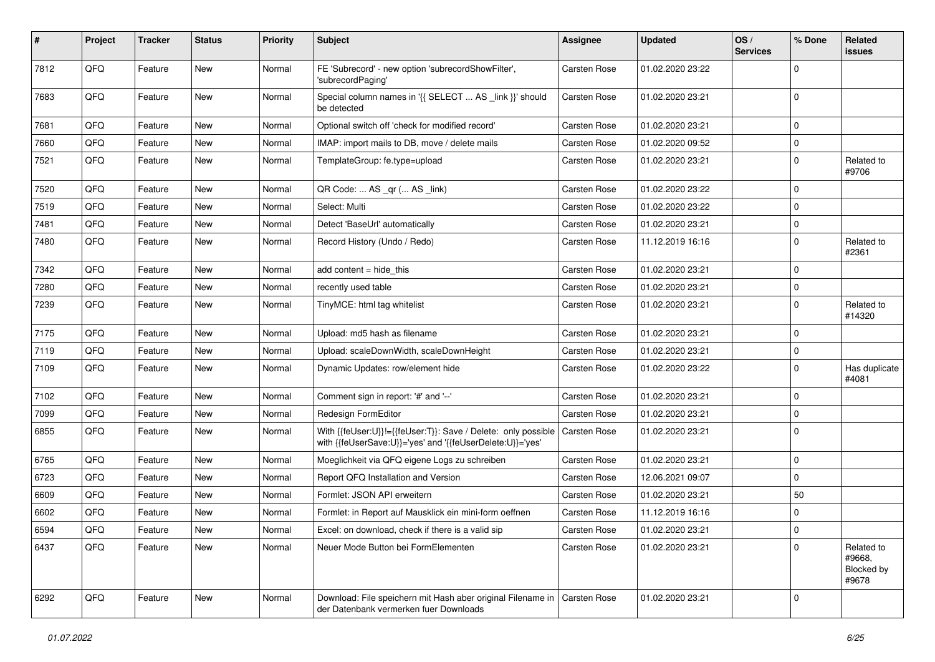| #    | Project | <b>Tracker</b> | <b>Status</b> | <b>Priority</b> | <b>Subject</b>                                                                                                             | <b>Assignee</b>     | <b>Updated</b>   | OS/<br><b>Services</b> | % Done      | Related<br><b>issues</b>                    |
|------|---------|----------------|---------------|-----------------|----------------------------------------------------------------------------------------------------------------------------|---------------------|------------------|------------------------|-------------|---------------------------------------------|
| 7812 | QFQ     | Feature        | New           | Normal          | FE 'Subrecord' - new option 'subrecordShowFilter',<br>'subrecordPaging'                                                    | Carsten Rose        | 01.02.2020 23:22 |                        | $\Omega$    |                                             |
| 7683 | QFQ     | Feature        | New           | Normal          | Special column names in '{{ SELECT  AS _link }}' should<br>be detected                                                     | <b>Carsten Rose</b> | 01.02.2020 23:21 |                        | $\mathbf 0$ |                                             |
| 7681 | QFQ     | Feature        | New           | Normal          | Optional switch off 'check for modified record'                                                                            | Carsten Rose        | 01.02.2020 23:21 |                        | 0           |                                             |
| 7660 | QFQ     | Feature        | <b>New</b>    | Normal          | IMAP: import mails to DB, move / delete mails                                                                              | Carsten Rose        | 01.02.2020 09:52 |                        | 0           |                                             |
| 7521 | QFQ     | Feature        | New           | Normal          | TemplateGroup: fe.type=upload                                                                                              | Carsten Rose        | 01.02.2020 23:21 |                        | $\mathbf 0$ | Related to<br>#9706                         |
| 7520 | QFQ     | Feature        | <b>New</b>    | Normal          | QR Code:  AS _qr ( AS _link)                                                                                               | Carsten Rose        | 01.02.2020 23:22 |                        | $\mathbf 0$ |                                             |
| 7519 | QFQ     | Feature        | New           | Normal          | Select: Multi                                                                                                              | Carsten Rose        | 01.02.2020 23:22 |                        | 0           |                                             |
| 7481 | QFQ     | Feature        | New           | Normal          | Detect 'BaseUrl' automatically                                                                                             | Carsten Rose        | 01.02.2020 23:21 |                        | $\mathbf 0$ |                                             |
| 7480 | QFQ     | Feature        | New           | Normal          | Record History (Undo / Redo)                                                                                               | Carsten Rose        | 11.12.2019 16:16 |                        | $\mathbf 0$ | Related to<br>#2361                         |
| 7342 | QFQ     | Feature        | New           | Normal          | add content = hide_this                                                                                                    | Carsten Rose        | 01.02.2020 23:21 |                        | $\mathbf 0$ |                                             |
| 7280 | QFQ     | Feature        | New           | Normal          | recently used table                                                                                                        | <b>Carsten Rose</b> | 01.02.2020 23:21 |                        | 0           |                                             |
| 7239 | QFQ     | Feature        | New           | Normal          | TinyMCE: html tag whitelist                                                                                                | Carsten Rose        | 01.02.2020 23:21 |                        | $\mathbf 0$ | Related to<br>#14320                        |
| 7175 | QFQ     | Feature        | New           | Normal          | Upload: md5 hash as filename                                                                                               | Carsten Rose        | 01.02.2020 23:21 |                        | 0           |                                             |
| 7119 | QFQ     | Feature        | New           | Normal          | Upload: scaleDownWidth, scaleDownHeight                                                                                    | Carsten Rose        | 01.02.2020 23:21 |                        | $\mathbf 0$ |                                             |
| 7109 | QFQ     | Feature        | New           | Normal          | Dynamic Updates: row/element hide                                                                                          | Carsten Rose        | 01.02.2020 23:22 |                        | 0           | Has duplicate<br>#4081                      |
| 7102 | QFQ     | Feature        | New           | Normal          | Comment sign in report: '#' and '--'                                                                                       | Carsten Rose        | 01.02.2020 23:21 |                        | $\Omega$    |                                             |
| 7099 | QFQ     | Feature        | New           | Normal          | Redesign FormEditor                                                                                                        | Carsten Rose        | 01.02.2020 23:21 |                        | 0           |                                             |
| 6855 | QFQ     | Feature        | New           | Normal          | With {{feUser:U}}!={{feUser:T}}: Save / Delete: only possible<br>with {{feUserSave:U}}='yes' and '{{feUserDelete:U}}='yes' | Carsten Rose        | 01.02.2020 23:21 |                        | 0           |                                             |
| 6765 | QFQ     | Feature        | New           | Normal          | Moeglichkeit via QFQ eigene Logs zu schreiben                                                                              | <b>Carsten Rose</b> | 01.02.2020 23:21 |                        | 0           |                                             |
| 6723 | QFQ     | Feature        | New           | Normal          | Report QFQ Installation and Version                                                                                        | Carsten Rose        | 12.06.2021 09:07 |                        | $\mathbf 0$ |                                             |
| 6609 | QFQ     | Feature        | New           | Normal          | Formlet: JSON API erweitern                                                                                                | <b>Carsten Rose</b> | 01.02.2020 23:21 |                        | 50          |                                             |
| 6602 | QFQ     | Feature        | New           | Normal          | Formlet: in Report auf Mausklick ein mini-form oeffnen                                                                     | Carsten Rose        | 11.12.2019 16:16 |                        | 0           |                                             |
| 6594 | QFG     | Feature        | New           | Normal          | Excel: on download, check if there is a valid sip                                                                          | Carsten Rose        | 01.02.2020 23:21 |                        | 0           |                                             |
| 6437 | QFQ     | Feature        | New           | Normal          | Neuer Mode Button bei FormElementen                                                                                        | Carsten Rose        | 01.02.2020 23:21 |                        | $\Omega$    | Related to<br>#9668,<br>Blocked by<br>#9678 |
| 6292 | QFQ     | Feature        | New           | Normal          | Download: File speichern mit Hash aber original Filename in   Carsten Rose<br>der Datenbank vermerken fuer Downloads       |                     | 01.02.2020 23:21 |                        | $\mathbf 0$ |                                             |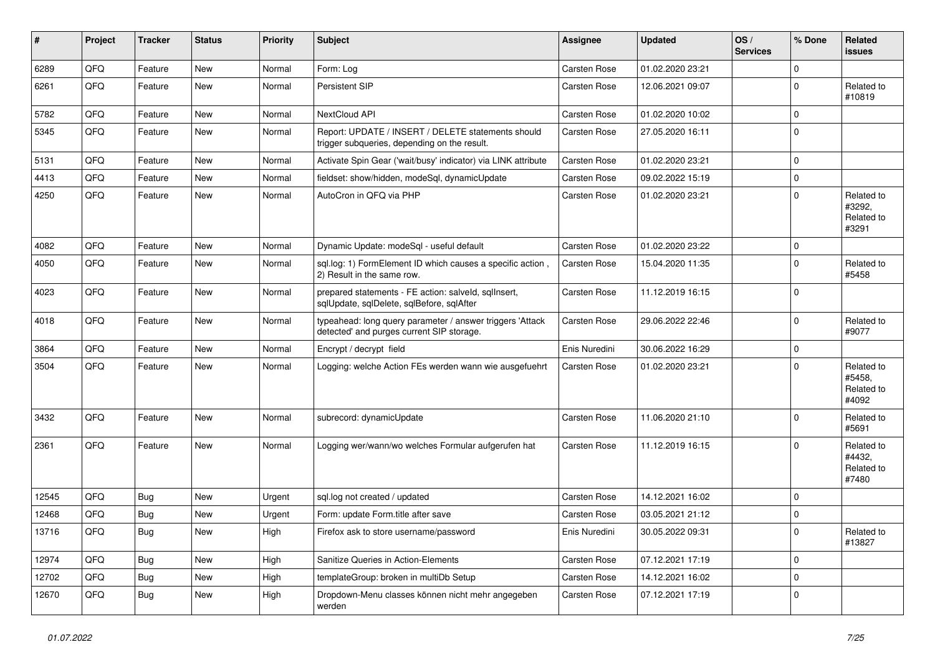| ∦     | Project | <b>Tracker</b> | <b>Status</b> | <b>Priority</b> | <b>Subject</b>                                                                                         | <b>Assignee</b>     | <b>Updated</b>   | OS/<br><b>Services</b> | % Done      | Related<br>issues                           |
|-------|---------|----------------|---------------|-----------------|--------------------------------------------------------------------------------------------------------|---------------------|------------------|------------------------|-------------|---------------------------------------------|
| 6289  | QFQ     | Feature        | <b>New</b>    | Normal          | Form: Log                                                                                              | <b>Carsten Rose</b> | 01.02.2020 23:21 |                        | $\mathbf 0$ |                                             |
| 6261  | QFQ     | Feature        | New           | Normal          | Persistent SIP                                                                                         | <b>Carsten Rose</b> | 12.06.2021 09:07 |                        | $\mathbf 0$ | Related to<br>#10819                        |
| 5782  | QFQ     | Feature        | <b>New</b>    | Normal          | NextCloud API                                                                                          | <b>Carsten Rose</b> | 01.02.2020 10:02 |                        | $\mathbf 0$ |                                             |
| 5345  | QFQ     | Feature        | New           | Normal          | Report: UPDATE / INSERT / DELETE statements should<br>trigger subqueries, depending on the result.     | <b>Carsten Rose</b> | 27.05.2020 16:11 |                        | $\mathbf 0$ |                                             |
| 5131  | QFQ     | Feature        | New           | Normal          | Activate Spin Gear ('wait/busy' indicator) via LINK attribute                                          | <b>Carsten Rose</b> | 01.02.2020 23:21 |                        | $\mathbf 0$ |                                             |
| 4413  | QFQ     | Feature        | <b>New</b>    | Normal          | fieldset: show/hidden, modeSql, dynamicUpdate                                                          | <b>Carsten Rose</b> | 09.02.2022 15:19 |                        | $\mathbf 0$ |                                             |
| 4250  | QFQ     | Feature        | <b>New</b>    | Normal          | AutoCron in QFQ via PHP                                                                                | <b>Carsten Rose</b> | 01.02.2020 23:21 |                        | $\mathbf 0$ | Related to<br>#3292,<br>Related to<br>#3291 |
| 4082  | QFQ     | Feature        | New           | Normal          | Dynamic Update: modeSql - useful default                                                               | Carsten Rose        | 01.02.2020 23:22 |                        | 0           |                                             |
| 4050  | QFQ     | Feature        | <b>New</b>    | Normal          | sql.log: 1) FormElement ID which causes a specific action,<br>2) Result in the same row.               | <b>Carsten Rose</b> | 15.04.2020 11:35 |                        | $\mathbf 0$ | Related to<br>#5458                         |
| 4023  | QFQ     | Feature        | New           | Normal          | prepared statements - FE action: salveld, sqllnsert,<br>sqlUpdate, sqlDelete, sqlBefore, sqlAfter      | <b>Carsten Rose</b> | 11.12.2019 16:15 |                        | $\mathbf 0$ |                                             |
| 4018  | QFQ     | Feature        | New           | Normal          | typeahead: long query parameter / answer triggers 'Attack<br>detected' and purges current SIP storage. | <b>Carsten Rose</b> | 29.06.2022 22:46 |                        | $\mathbf 0$ | Related to<br>#9077                         |
| 3864  | QFQ     | Feature        | <b>New</b>    | Normal          | Encrypt / decrypt field                                                                                | Enis Nuredini       | 30.06.2022 16:29 |                        | $\mathbf 0$ |                                             |
| 3504  | QFQ     | Feature        | New           | Normal          | Logging: welche Action FEs werden wann wie ausgefuehrt                                                 | <b>Carsten Rose</b> | 01.02.2020 23:21 |                        | $\Omega$    | Related to<br>#5458,<br>Related to<br>#4092 |
| 3432  | QFQ     | Feature        | New           | Normal          | subrecord: dynamicUpdate                                                                               | <b>Carsten Rose</b> | 11.06.2020 21:10 |                        | $\mathbf 0$ | Related to<br>#5691                         |
| 2361  | QFQ     | Feature        | New           | Normal          | Logging wer/wann/wo welches Formular aufgerufen hat                                                    | <b>Carsten Rose</b> | 11.12.2019 16:15 |                        | $\Omega$    | Related to<br>#4432,<br>Related to<br>#7480 |
| 12545 | QFQ     | Bug            | <b>New</b>    | Urgent          | sql.log not created / updated                                                                          | <b>Carsten Rose</b> | 14.12.2021 16:02 |                        | $\mathbf 0$ |                                             |
| 12468 | QFQ     | Bug            | New           | Urgent          | Form: update Form.title after save                                                                     | <b>Carsten Rose</b> | 03.05.2021 21:12 |                        | 0           |                                             |
| 13716 | QFQ     | <b>Bug</b>     | New           | High            | Firefox ask to store username/password                                                                 | Enis Nuredini       | 30.05.2022 09:31 |                        | O           | Related to<br>#13827                        |
| 12974 | QFQ     | Bug            | New           | High            | Sanitize Queries in Action-Elements                                                                    | Carsten Rose        | 07.12.2021 17:19 |                        | 0           |                                             |
| 12702 | QFQ     | <b>Bug</b>     | New           | High            | templateGroup: broken in multiDb Setup                                                                 | Carsten Rose        | 14.12.2021 16:02 |                        | $\mathbf 0$ |                                             |
| 12670 | QFQ     | <b>Bug</b>     | New           | High            | Dropdown-Menu classes können nicht mehr angegeben<br>werden                                            | Carsten Rose        | 07.12.2021 17:19 |                        | 0           |                                             |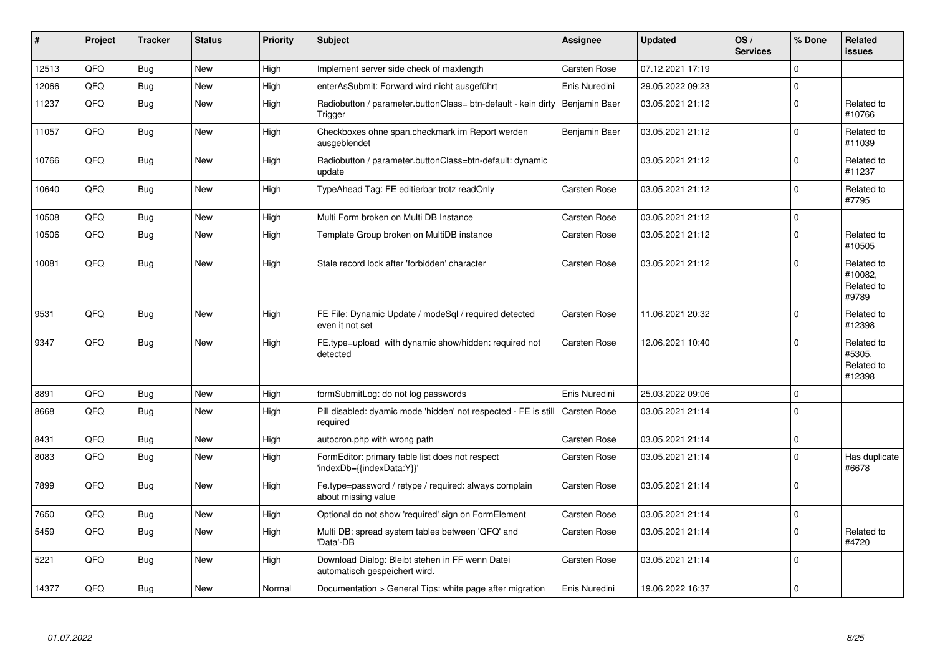| #     | Project | <b>Tracker</b> | <b>Status</b> | <b>Priority</b> | <b>Subject</b>                                                                   | <b>Assignee</b>     | <b>Updated</b>   | OS/<br><b>Services</b> | % Done         | Related<br><b>issues</b>                     |
|-------|---------|----------------|---------------|-----------------|----------------------------------------------------------------------------------|---------------------|------------------|------------------------|----------------|----------------------------------------------|
| 12513 | QFQ     | Bug            | <b>New</b>    | High            | Implement server side check of maxlength                                         | <b>Carsten Rose</b> | 07.12.2021 17:19 |                        | $\Omega$       |                                              |
| 12066 | QFQ     | <b>Bug</b>     | <b>New</b>    | High            | enterAsSubmit: Forward wird nicht ausgeführt                                     | Enis Nuredini       | 29.05.2022 09:23 |                        | $\mathbf 0$    |                                              |
| 11237 | QFQ     | Bug            | <b>New</b>    | High            | Radiobutton / parameter.buttonClass= btn-default - kein dirty<br>Trigger         | Benjamin Baer       | 03.05.2021 21:12 |                        | $\mathbf 0$    | Related to<br>#10766                         |
| 11057 | QFQ     | <b>Bug</b>     | <b>New</b>    | High            | Checkboxes ohne span.checkmark im Report werden<br>ausgeblendet                  | Benjamin Baer       | 03.05.2021 21:12 |                        | $\Omega$       | Related to<br>#11039                         |
| 10766 | QFQ     | Bug            | <b>New</b>    | High            | Radiobutton / parameter.buttonClass=btn-default: dynamic<br>update               |                     | 03.05.2021 21:12 |                        | $\Omega$       | Related to<br>#11237                         |
| 10640 | QFQ     | Bug            | <b>New</b>    | High            | TypeAhead Tag: FE editierbar trotz readOnly                                      | <b>Carsten Rose</b> | 03.05.2021 21:12 |                        | $\Omega$       | Related to<br>#7795                          |
| 10508 | QFQ     | Bug            | <b>New</b>    | High            | Multi Form broken on Multi DB Instance                                           | Carsten Rose        | 03.05.2021 21:12 |                        | $\mathbf 0$    |                                              |
| 10506 | QFQ     | Bug            | <b>New</b>    | High            | Template Group broken on MultiDB instance                                        | <b>Carsten Rose</b> | 03.05.2021 21:12 |                        | $\Omega$       | Related to<br>#10505                         |
| 10081 | QFQ     | Bug            | <b>New</b>    | High            | Stale record lock after 'forbidden' character                                    | <b>Carsten Rose</b> | 03.05.2021 21:12 |                        | $\Omega$       | Related to<br>#10082,<br>Related to<br>#9789 |
| 9531  | QFQ     | <b>Bug</b>     | <b>New</b>    | High            | FE File: Dynamic Update / modeSql / required detected<br>even it not set         | Carsten Rose        | 11.06.2021 20:32 |                        | $\Omega$       | Related to<br>#12398                         |
| 9347  | QFQ     | Bug            | <b>New</b>    | High            | FE.type=upload with dynamic show/hidden: required not<br>detected                | <b>Carsten Rose</b> | 12.06.2021 10:40 |                        | $\Omega$       | Related to<br>#5305.<br>Related to<br>#12398 |
| 8891  | QFQ     | Bug            | <b>New</b>    | High            | formSubmitLog: do not log passwords                                              | Enis Nuredini       | 25.03.2022 09:06 |                        | $\Omega$       |                                              |
| 8668  | QFQ     | <b>Bug</b>     | <b>New</b>    | High            | Pill disabled: dyamic mode 'hidden' not respected - FE is still<br>required      | <b>Carsten Rose</b> | 03.05.2021 21:14 |                        | $\Omega$       |                                              |
| 8431  | QFQ     | <b>Bug</b>     | <b>New</b>    | High            | autocron.php with wrong path                                                     | <b>Carsten Rose</b> | 03.05.2021 21:14 |                        | $\Omega$       |                                              |
| 8083  | QFQ     | <b>Bug</b>     | New           | High            | FormEditor: primary table list does not respect<br>'indexDb={{indexData:Y}}'     | Carsten Rose        | 03.05.2021 21:14 |                        | $\Omega$       | Has duplicate<br>#6678                       |
| 7899  | QFQ     | Bug            | <b>New</b>    | High            | Fe.type=password / retype / required: always complain<br>about missing value     | <b>Carsten Rose</b> | 03.05.2021 21:14 |                        | $\Omega$       |                                              |
| 7650  | QFQ     | Bug            | <b>New</b>    | High            | Optional do not show 'required' sign on FormElement                              | <b>Carsten Rose</b> | 03.05.2021 21:14 |                        | $\mathbf 0$    |                                              |
| 5459  | QFQ     | Bug            | <b>New</b>    | High            | Multi DB: spread system tables between 'QFQ' and<br>'Data'-DB                    | <b>Carsten Rose</b> | 03.05.2021 21:14 |                        | 0              | Related to<br>#4720                          |
| 5221  | QFQ     | <b>Bug</b>     | <b>New</b>    | High            | Download Dialog: Bleibt stehen in FF wenn Datei<br>automatisch gespeichert wird. | <b>Carsten Rose</b> | 03.05.2021 21:14 |                        | $\overline{0}$ |                                              |
| 14377 | QFQ     | Bug            | New           | Normal          | Documentation > General Tips: white page after migration                         | Enis Nuredini       | 19.06.2022 16:37 |                        | $\mathbf 0$    |                                              |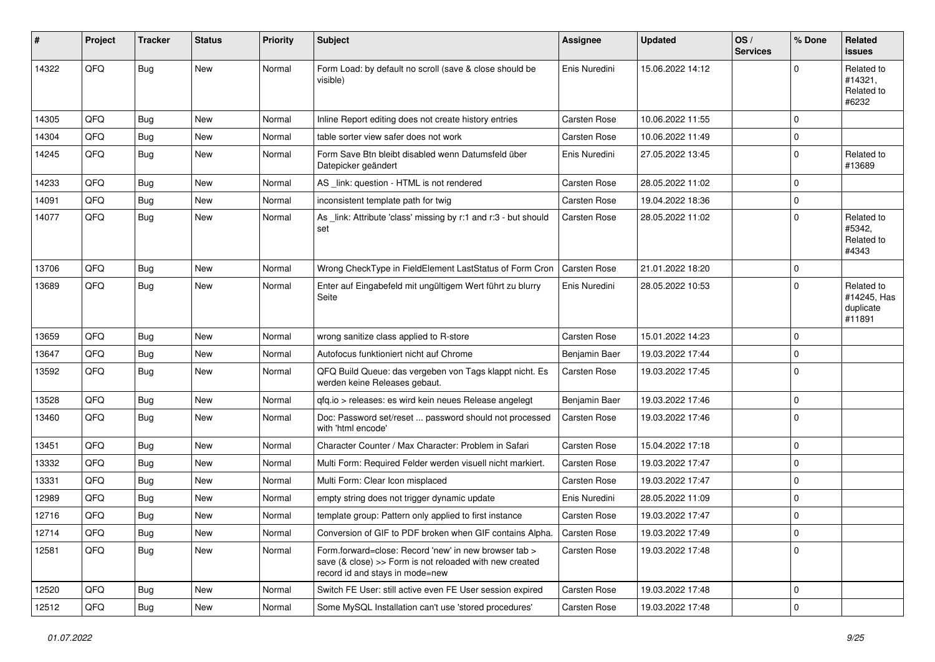| #     | Project | <b>Tracker</b> | <b>Status</b> | <b>Priority</b> | <b>Subject</b>                                                                                                                                      | <b>Assignee</b>     | <b>Updated</b>   | OS/<br><b>Services</b> | % Done      | <b>Related</b><br><b>issues</b>                  |
|-------|---------|----------------|---------------|-----------------|-----------------------------------------------------------------------------------------------------------------------------------------------------|---------------------|------------------|------------------------|-------------|--------------------------------------------------|
| 14322 | QFQ     | <b>Bug</b>     | <b>New</b>    | Normal          | Form Load: by default no scroll (save & close should be<br>visible)                                                                                 | Enis Nuredini       | 15.06.2022 14:12 |                        | $\Omega$    | Related to<br>#14321,<br>Related to<br>#6232     |
| 14305 | QFQ     | <b>Bug</b>     | <b>New</b>    | Normal          | Inline Report editing does not create history entries                                                                                               | <b>Carsten Rose</b> | 10.06.2022 11:55 |                        | 0           |                                                  |
| 14304 | QFQ     | <b>Bug</b>     | <b>New</b>    | Normal          | table sorter view safer does not work                                                                                                               | <b>Carsten Rose</b> | 10.06.2022 11:49 |                        | $\mathbf 0$ |                                                  |
| 14245 | QFQ     | <b>Bug</b>     | <b>New</b>    | Normal          | Form Save Btn bleibt disabled wenn Datumsfeld über<br>Datepicker geändert                                                                           | Enis Nuredini       | 27.05.2022 13:45 |                        | 0           | Related to<br>#13689                             |
| 14233 | QFQ     | <b>Bug</b>     | New           | Normal          | AS _link: question - HTML is not rendered                                                                                                           | Carsten Rose        | 28.05.2022 11:02 |                        | $\mathbf 0$ |                                                  |
| 14091 | QFQ     | <b>Bug</b>     | New           | Normal          | inconsistent template path for twig                                                                                                                 | <b>Carsten Rose</b> | 19.04.2022 18:36 |                        | $\mathbf 0$ |                                                  |
| 14077 | QFQ     | Bug            | New           | Normal          | As _link: Attribute 'class' missing by r:1 and r:3 - but should<br>set                                                                              | <b>Carsten Rose</b> | 28.05.2022 11:02 |                        | $\mathbf 0$ | Related to<br>#5342,<br>Related to<br>#4343      |
| 13706 | QFQ     | Bug            | <b>New</b>    | Normal          | Wrong CheckType in FieldElement LastStatus of Form Cron                                                                                             | <b>Carsten Rose</b> | 21.01.2022 18:20 |                        | $\mathbf 0$ |                                                  |
| 13689 | QFQ     | <b>Bug</b>     | <b>New</b>    | Normal          | Enter auf Eingabefeld mit ungültigem Wert führt zu blurry<br>Seite                                                                                  | Enis Nuredini       | 28.05.2022 10:53 |                        | 0           | Related to<br>#14245, Has<br>duplicate<br>#11891 |
| 13659 | QFQ     | <b>Bug</b>     | <b>New</b>    | Normal          | wrong sanitize class applied to R-store                                                                                                             | Carsten Rose        | 15.01.2022 14:23 |                        | $\mathbf 0$ |                                                  |
| 13647 | QFQ     | <b>Bug</b>     | <b>New</b>    | Normal          | Autofocus funktioniert nicht auf Chrome                                                                                                             | Benjamin Baer       | 19.03.2022 17:44 |                        | 0           |                                                  |
| 13592 | QFQ     | <b>Bug</b>     | <b>New</b>    | Normal          | QFQ Build Queue: das vergeben von Tags klappt nicht. Es<br>werden keine Releases gebaut.                                                            | Carsten Rose        | 19.03.2022 17:45 |                        | 0           |                                                  |
| 13528 | QFQ     | <b>Bug</b>     | <b>New</b>    | Normal          | qfq.io > releases: es wird kein neues Release angelegt                                                                                              | Benjamin Baer       | 19.03.2022 17:46 |                        | 0           |                                                  |
| 13460 | QFQ     | Bug            | New           | Normal          | Doc: Password set/reset  password should not processed<br>with 'html encode'                                                                        | Carsten Rose        | 19.03.2022 17:46 |                        | $\mathbf 0$ |                                                  |
| 13451 | QFQ     | <b>Bug</b>     | <b>New</b>    | Normal          | Character Counter / Max Character: Problem in Safari                                                                                                | Carsten Rose        | 15.04.2022 17:18 |                        | 0           |                                                  |
| 13332 | QFQ     | <b>Bug</b>     | <b>New</b>    | Normal          | Multi Form: Required Felder werden visuell nicht markiert.                                                                                          | <b>Carsten Rose</b> | 19.03.2022 17:47 |                        | 0           |                                                  |
| 13331 | QFQ     | Bug            | New           | Normal          | Multi Form: Clear Icon misplaced                                                                                                                    | <b>Carsten Rose</b> | 19.03.2022 17:47 |                        | 0           |                                                  |
| 12989 | QFQ     | <b>Bug</b>     | <b>New</b>    | Normal          | empty string does not trigger dynamic update                                                                                                        | Enis Nuredini       | 28.05.2022 11:09 |                        | 0           |                                                  |
| 12716 | QFQ     | <b>Bug</b>     | <b>New</b>    | Normal          | template group: Pattern only applied to first instance                                                                                              | Carsten Rose        | 19.03.2022 17:47 |                        | 0           |                                                  |
| 12714 | QFQ     | Bug            | New           | Normal          | Conversion of GIF to PDF broken when GIF contains Alpha.                                                                                            | <b>Carsten Rose</b> | 19.03.2022 17:49 |                        | 0           |                                                  |
| 12581 | QFQ     | Bug            | New           | Normal          | Form.forward=close: Record 'new' in new browser tab ><br>save (& close) >> Form is not reloaded with new created<br>record id and stays in mode=new | <b>Carsten Rose</b> | 19.03.2022 17:48 |                        | $\mathbf 0$ |                                                  |
| 12520 | QFQ     | <b>Bug</b>     | New           | Normal          | Switch FE User: still active even FE User session expired                                                                                           | Carsten Rose        | 19.03.2022 17:48 |                        | $\mathbf 0$ |                                                  |
| 12512 | QFQ     | Bug            | New           | Normal          | Some MySQL Installation can't use 'stored procedures'                                                                                               | Carsten Rose        | 19.03.2022 17:48 |                        | $\pmb{0}$   |                                                  |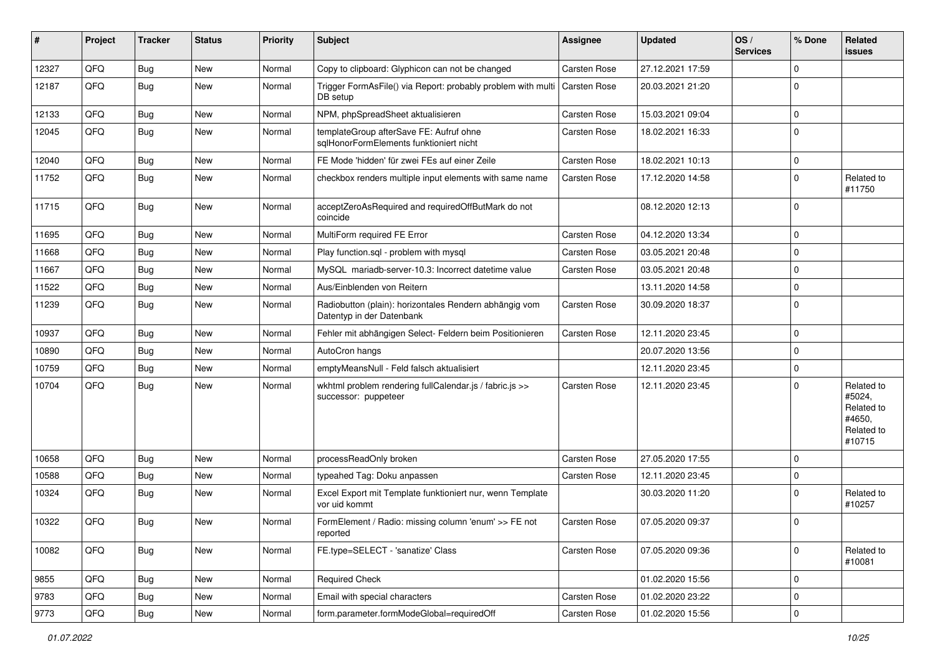| #     | Project | <b>Tracker</b> | <b>Status</b> | <b>Priority</b> | Subject                                                                             | <b>Assignee</b> | <b>Updated</b>   | OS/<br><b>Services</b> | % Done              | Related<br>issues                                                    |
|-------|---------|----------------|---------------|-----------------|-------------------------------------------------------------------------------------|-----------------|------------------|------------------------|---------------------|----------------------------------------------------------------------|
| 12327 | QFQ     | <b>Bug</b>     | New           | Normal          | Copy to clipboard: Glyphicon can not be changed                                     | Carsten Rose    | 27.12.2021 17:59 |                        | $\mathbf 0$         |                                                                      |
| 12187 | QFQ     | <b>Bug</b>     | New           | Normal          | Trigger FormAsFile() via Report: probably problem with multi<br>DB setup            | Carsten Rose    | 20.03.2021 21:20 |                        | $\mathbf 0$         |                                                                      |
| 12133 | QFQ     | <b>Bug</b>     | <b>New</b>    | Normal          | NPM, phpSpreadSheet aktualisieren                                                   | Carsten Rose    | 15.03.2021 09:04 |                        | $\mathbf 0$         |                                                                      |
| 12045 | QFQ     | <b>Bug</b>     | New           | Normal          | templateGroup afterSave FE: Aufruf ohne<br>sqlHonorFormElements funktioniert nicht  | Carsten Rose    | 18.02.2021 16:33 |                        | $\mathbf 0$         |                                                                      |
| 12040 | QFQ     | Bug            | New           | Normal          | FE Mode 'hidden' für zwei FEs auf einer Zeile                                       | Carsten Rose    | 18.02.2021 10:13 |                        | $\mathbf 0$         |                                                                      |
| 11752 | QFQ     | <b>Bug</b>     | New           | Normal          | checkbox renders multiple input elements with same name                             | Carsten Rose    | 17.12.2020 14:58 |                        | $\mathbf 0$         | Related to<br>#11750                                                 |
| 11715 | QFQ     | <b>Bug</b>     | New           | Normal          | acceptZeroAsRequired and requiredOffButMark do not<br>coincide                      |                 | 08.12.2020 12:13 |                        | $\mathbf 0$         |                                                                      |
| 11695 | QFQ     | <b>Bug</b>     | <b>New</b>    | Normal          | MultiForm required FE Error                                                         | Carsten Rose    | 04.12.2020 13:34 |                        | $\mathbf 0$         |                                                                      |
| 11668 | QFQ     | Bug            | New           | Normal          | Play function.sgl - problem with mysgl                                              | Carsten Rose    | 03.05.2021 20:48 |                        | $\mathbf 0$         |                                                                      |
| 11667 | QFQ     | <b>Bug</b>     | <b>New</b>    | Normal          | MySQL mariadb-server-10.3: Incorrect datetime value                                 | Carsten Rose    | 03.05.2021 20:48 |                        | $\mathbf 0$         |                                                                      |
| 11522 | QFQ     | <b>Bug</b>     | New           | Normal          | Aus/Einblenden von Reitern                                                          |                 | 13.11.2020 14:58 |                        | $\pmb{0}$           |                                                                      |
| 11239 | QFQ     | <b>Bug</b>     | New           | Normal          | Radiobutton (plain): horizontales Rendern abhängig vom<br>Datentyp in der Datenbank | Carsten Rose    | 30.09.2020 18:37 |                        | $\mathbf 0$         |                                                                      |
| 10937 | QFQ     | Bug            | New           | Normal          | Fehler mit abhängigen Select- Feldern beim Positionieren                            | Carsten Rose    | 12.11.2020 23:45 |                        | $\mathbf 0$         |                                                                      |
| 10890 | QFQ     | <b>Bug</b>     | New           | Normal          | AutoCron hangs                                                                      |                 | 20.07.2020 13:56 |                        | $\mathbf 0$         |                                                                      |
| 10759 | QFQ     | <b>Bug</b>     | New           | Normal          | emptyMeansNull - Feld falsch aktualisiert                                           |                 | 12.11.2020 23:45 |                        | $\mathbf 0$         |                                                                      |
| 10704 | QFQ     | <b>Bug</b>     | New           | Normal          | wkhtml problem rendering fullCalendar.js / fabric.js >><br>successor: puppeteer     | Carsten Rose    | 12.11.2020 23:45 |                        | $\mathbf 0$         | Related to<br>#5024,<br>Related to<br>#4650.<br>Related to<br>#10715 |
| 10658 | QFQ     | <b>Bug</b>     | New           | Normal          | processReadOnly broken                                                              | Carsten Rose    | 27.05.2020 17:55 |                        | $\mathbf 0$         |                                                                      |
| 10588 | QFQ     | <b>Bug</b>     | <b>New</b>    | Normal          | typeahed Tag: Doku anpassen                                                         | Carsten Rose    | 12.11.2020 23:45 |                        | 0                   |                                                                      |
| 10324 | QFQ     | <b>Bug</b>     | New           | Normal          | Excel Export mit Template funktioniert nur, wenn Template<br>vor uid kommt          |                 | 30.03.2020 11:20 |                        | $\mathbf 0$         | Related to<br>#10257                                                 |
| 10322 | QFQ     | Bug            | New           | Normal          | FormElement / Radio: missing column 'enum' >> FE not<br>reported                    | Carsten Rose    | 07.05.2020 09:37 |                        | $\mathbf 0$         |                                                                      |
| 10082 | QFQ     | <b>Bug</b>     | New           | Normal          | FE.type=SELECT - 'sanatize' Class                                                   | Carsten Rose    | 07.05.2020 09:36 |                        | $\mathbf 0$         | Related to<br>#10081                                                 |
| 9855  | QFQ     | <b>Bug</b>     | New           | Normal          | <b>Required Check</b>                                                               |                 | 01.02.2020 15:56 |                        | 0                   |                                                                      |
| 9783  | QFQ     | <b>Bug</b>     | New           | Normal          | Email with special characters                                                       | Carsten Rose    | 01.02.2020 23:22 |                        | $\mathbf 0$         |                                                                      |
| 9773  | QFQ     | <b>Bug</b>     | New           | Normal          | form.parameter.formModeGlobal=requiredOff                                           | Carsten Rose    | 01.02.2020 15:56 |                        | $\mathsf{O}\xspace$ |                                                                      |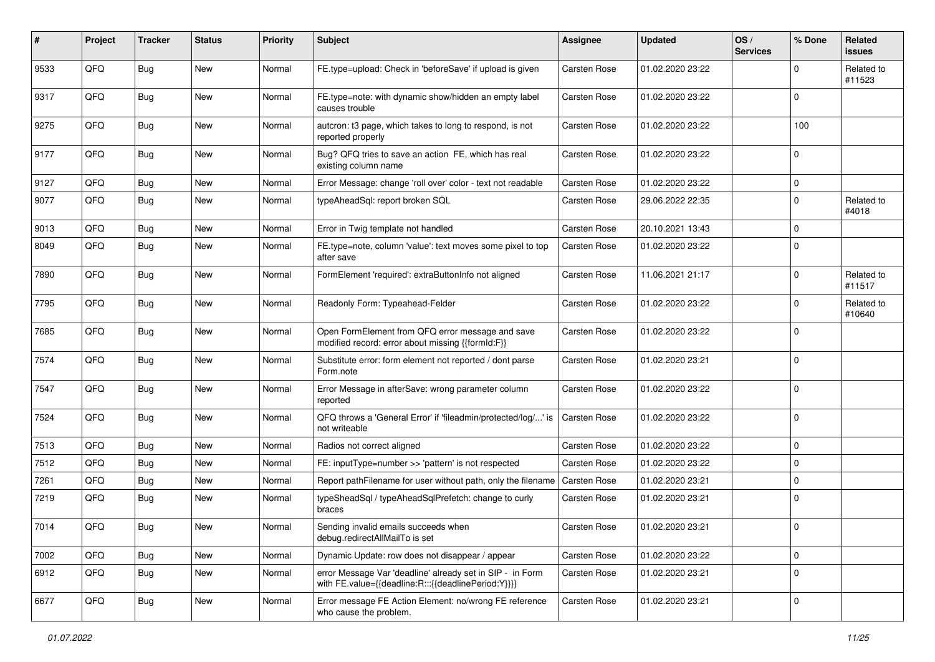| #    | Project | <b>Tracker</b> | <b>Status</b> | <b>Priority</b> | <b>Subject</b>                                                                                                   | <b>Assignee</b> | <b>Updated</b>   | OS/<br><b>Services</b> | % Done      | Related<br><b>issues</b> |
|------|---------|----------------|---------------|-----------------|------------------------------------------------------------------------------------------------------------------|-----------------|------------------|------------------------|-------------|--------------------------|
| 9533 | QFQ     | <b>Bug</b>     | <b>New</b>    | Normal          | FE.type=upload: Check in 'beforeSave' if upload is given                                                         | Carsten Rose    | 01.02.2020 23:22 |                        | $\mathbf 0$ | Related to<br>#11523     |
| 9317 | QFQ     | <b>Bug</b>     | New           | Normal          | FE.type=note: with dynamic show/hidden an empty label<br>causes trouble                                          | Carsten Rose    | 01.02.2020 23:22 |                        | $\mathbf 0$ |                          |
| 9275 | QFQ     | <b>Bug</b>     | New           | Normal          | autcron: t3 page, which takes to long to respond, is not<br>reported properly                                    | Carsten Rose    | 01.02.2020 23:22 |                        | 100         |                          |
| 9177 | QFQ     | <b>Bug</b>     | New           | Normal          | Bug? QFQ tries to save an action FE, which has real<br>existing column name                                      | Carsten Rose    | 01.02.2020 23:22 |                        | 0           |                          |
| 9127 | QFQ     | <b>Bug</b>     | New           | Normal          | Error Message: change 'roll over' color - text not readable                                                      | Carsten Rose    | 01.02.2020 23:22 |                        | $\pmb{0}$   |                          |
| 9077 | QFQ     | <b>Bug</b>     | New           | Normal          | typeAheadSql: report broken SQL                                                                                  | Carsten Rose    | 29.06.2022 22:35 |                        | 0           | Related to<br>#4018      |
| 9013 | QFQ     | Bug            | <b>New</b>    | Normal          | Error in Twig template not handled                                                                               | Carsten Rose    | 20.10.2021 13:43 |                        | $\mathbf 0$ |                          |
| 8049 | QFQ     | <b>Bug</b>     | New           | Normal          | FE.type=note, column 'value': text moves some pixel to top<br>after save                                         | Carsten Rose    | 01.02.2020 23:22 |                        | $\mathbf 0$ |                          |
| 7890 | QFQ     | <b>Bug</b>     | New           | Normal          | FormElement 'required': extraButtonInfo not aligned                                                              | Carsten Rose    | 11.06.2021 21:17 |                        | $\mathbf 0$ | Related to<br>#11517     |
| 7795 | QFQ     | <b>Bug</b>     | New           | Normal          | Readonly Form: Typeahead-Felder                                                                                  | Carsten Rose    | 01.02.2020 23:22 |                        | $\mathbf 0$ | Related to<br>#10640     |
| 7685 | QFQ     | <b>Bug</b>     | <b>New</b>    | Normal          | Open FormElement from QFQ error message and save<br>modified record: error about missing {{formId:F}}            | Carsten Rose    | 01.02.2020 23:22 |                        | $\mathbf 0$ |                          |
| 7574 | QFQ     | Bug            | New           | Normal          | Substitute error: form element not reported / dont parse<br>Form.note                                            | Carsten Rose    | 01.02.2020 23:21 |                        | $\mathbf 0$ |                          |
| 7547 | QFQ     | <b>Bug</b>     | <b>New</b>    | Normal          | Error Message in afterSave: wrong parameter column<br>reported                                                   | Carsten Rose    | 01.02.2020 23:22 |                        | $\mathbf 0$ |                          |
| 7524 | QFQ     | <b>Bug</b>     | New           | Normal          | QFQ throws a 'General Error' if 'fileadmin/protected/log/' is<br>not writeable                                   | Carsten Rose    | 01.02.2020 23:22 |                        | $\mathbf 0$ |                          |
| 7513 | QFQ     | <b>Bug</b>     | New           | Normal          | Radios not correct aligned                                                                                       | Carsten Rose    | 01.02.2020 23:22 |                        | $\pmb{0}$   |                          |
| 7512 | QFQ     | <b>Bug</b>     | New           | Normal          | FE: inputType=number >> 'pattern' is not respected                                                               | Carsten Rose    | 01.02.2020 23:22 |                        | $\mathbf 0$ |                          |
| 7261 | QFQ     | Bug            | New           | Normal          | Report pathFilename for user without path, only the filename                                                     | Carsten Rose    | 01.02.2020 23:21 |                        | 0           |                          |
| 7219 | QFQ     | <b>Bug</b>     | New           | Normal          | typeSheadSql / typeAheadSqlPrefetch: change to curly<br>braces                                                   | Carsten Rose    | 01.02.2020 23:21 |                        | $\mathbf 0$ |                          |
| 7014 | QFQ     | Bug            | New           | Normal          | Sending invalid emails succeeds when<br>debug.redirectAllMailTo is set                                           | Carsten Rose    | 01.02.2020 23:21 |                        | $\mathbf 0$ |                          |
| 7002 | QFQ     | Bug            | New           | Normal          | Dynamic Update: row does not disappear / appear                                                                  | Carsten Rose    | 01.02.2020 23:22 |                        | $\mathbf 0$ |                          |
| 6912 | QFQ     | <b>Bug</b>     | New           | Normal          | error Message Var 'deadline' already set in SIP - in Form<br>with FE.value={{deadline:R:::{{deadlinePeriod:Y}}}} | Carsten Rose    | 01.02.2020 23:21 |                        | $\pmb{0}$   |                          |
| 6677 | QFQ     | <b>Bug</b>     | New           | Normal          | Error message FE Action Element: no/wrong FE reference<br>who cause the problem.                                 | Carsten Rose    | 01.02.2020 23:21 |                        | $\mathsf 0$ |                          |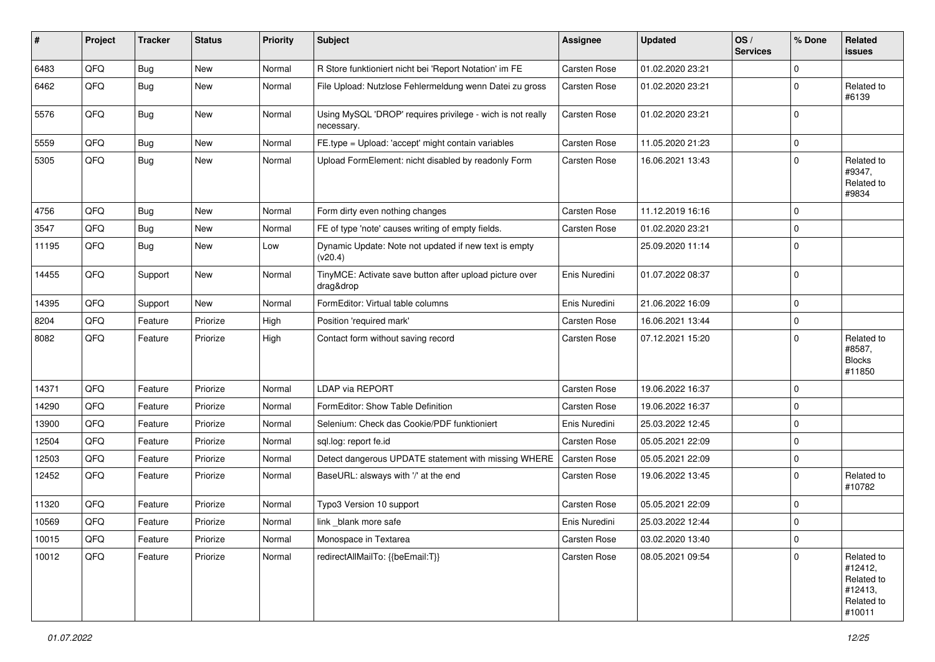| #     | Project | <b>Tracker</b> | <b>Status</b> | <b>Priority</b> | <b>Subject</b>                                                           | <b>Assignee</b>     | <b>Updated</b>   | OS/<br><b>Services</b> | % Done              | Related<br>issues                                                      |
|-------|---------|----------------|---------------|-----------------|--------------------------------------------------------------------------|---------------------|------------------|------------------------|---------------------|------------------------------------------------------------------------|
| 6483  | QFQ     | <b>Bug</b>     | New           | Normal          | R Store funktioniert nicht bei 'Report Notation' im FE                   | Carsten Rose        | 01.02.2020 23:21 |                        | $\mathbf 0$         |                                                                        |
| 6462  | QFQ     | <b>Bug</b>     | <b>New</b>    | Normal          | File Upload: Nutzlose Fehlermeldung wenn Datei zu gross                  | Carsten Rose        | 01.02.2020 23:21 |                        | $\mathbf 0$         | Related to<br>#6139                                                    |
| 5576  | QFQ     | <b>Bug</b>     | New           | Normal          | Using MySQL 'DROP' requires privilege - wich is not really<br>necessary. | Carsten Rose        | 01.02.2020 23:21 |                        | $\mathbf 0$         |                                                                        |
| 5559  | QFQ     | <b>Bug</b>     | <b>New</b>    | Normal          | FE.type = Upload: 'accept' might contain variables                       | Carsten Rose        | 11.05.2020 21:23 |                        | $\mathbf 0$         |                                                                        |
| 5305  | QFQ     | <b>Bug</b>     | New           | Normal          | Upload FormElement: nicht disabled by readonly Form                      | Carsten Rose        | 16.06.2021 13:43 |                        | $\mathbf 0$         | Related to<br>#9347,<br>Related to<br>#9834                            |
| 4756  | QFQ     | <b>Bug</b>     | <b>New</b>    | Normal          | Form dirty even nothing changes                                          | Carsten Rose        | 11.12.2019 16:16 |                        | $\Omega$            |                                                                        |
| 3547  | QFQ     | <b>Bug</b>     | <b>New</b>    | Normal          | FE of type 'note' causes writing of empty fields.                        | <b>Carsten Rose</b> | 01.02.2020 23:21 |                        | $\mathbf 0$         |                                                                        |
| 11195 | QFQ     | <b>Bug</b>     | <b>New</b>    | Low             | Dynamic Update: Note not updated if new text is empty<br>(v20.4)         |                     | 25.09.2020 11:14 |                        | $\mathbf 0$         |                                                                        |
| 14455 | QFQ     | Support        | New           | Normal          | TinyMCE: Activate save button after upload picture over<br>drag&drop     | Enis Nuredini       | 01.07.2022 08:37 |                        | $\mathbf 0$         |                                                                        |
| 14395 | QFQ     | Support        | <b>New</b>    | Normal          | FormEditor: Virtual table columns                                        | Enis Nuredini       | 21.06.2022 16:09 |                        | $\mathbf 0$         |                                                                        |
| 8204  | QFQ     | Feature        | Priorize      | High            | Position 'required mark'                                                 | Carsten Rose        | 16.06.2021 13:44 |                        | 0                   |                                                                        |
| 8082  | QFQ     | Feature        | Priorize      | High            | Contact form without saving record                                       | Carsten Rose        | 07.12.2021 15:20 |                        | $\Omega$            | Related to<br>#8587,<br><b>Blocks</b><br>#11850                        |
| 14371 | QFQ     | Feature        | Priorize      | Normal          | LDAP via REPORT                                                          | Carsten Rose        | 19.06.2022 16:37 |                        | $\mathbf 0$         |                                                                        |
| 14290 | QFQ     | Feature        | Priorize      | Normal          | FormEditor: Show Table Definition                                        | <b>Carsten Rose</b> | 19.06.2022 16:37 |                        | $\mathbf 0$         |                                                                        |
| 13900 | QFQ     | Feature        | Priorize      | Normal          | Selenium: Check das Cookie/PDF funktioniert                              | Enis Nuredini       | 25.03.2022 12:45 |                        | $\mathbf 0$         |                                                                        |
| 12504 | QFQ     | Feature        | Priorize      | Normal          | sql.log: report fe.id                                                    | <b>Carsten Rose</b> | 05.05.2021 22:09 |                        | $\mathbf 0$         |                                                                        |
| 12503 | QFQ     | Feature        | Priorize      | Normal          | Detect dangerous UPDATE statement with missing WHERE                     | Carsten Rose        | 05.05.2021 22:09 |                        | $\mathbf 0$         |                                                                        |
| 12452 | QFQ     | Feature        | Priorize      | Normal          | BaseURL: alsways with '/' at the end                                     | Carsten Rose        | 19.06.2022 13:45 |                        | $\mathbf 0$         | Related to<br>#10782                                                   |
| 11320 | QFQ     | Feature        | Priorize      | Normal          | Typo3 Version 10 support                                                 | Carsten Rose        | 05.05.2021 22:09 |                        | $\mathbf 0$         |                                                                        |
| 10569 | QFQ     | Feature        | Priorize      | Normal          | link_blank more safe                                                     | Enis Nuredini       | 25.03.2022 12:44 |                        | $\mathbf 0$         |                                                                        |
| 10015 | QFQ     | Feature        | Priorize      | Normal          | Monospace in Textarea                                                    | Carsten Rose        | 03.02.2020 13:40 |                        | $\mathsf{O}\xspace$ |                                                                        |
| 10012 | QFQ     | Feature        | Priorize      | Normal          | redirectAllMailTo: {{beEmail:T}}                                         | Carsten Rose        | 08.05.2021 09:54 |                        | $\mathbf 0$         | Related to<br>#12412,<br>Related to<br>#12413,<br>Related to<br>#10011 |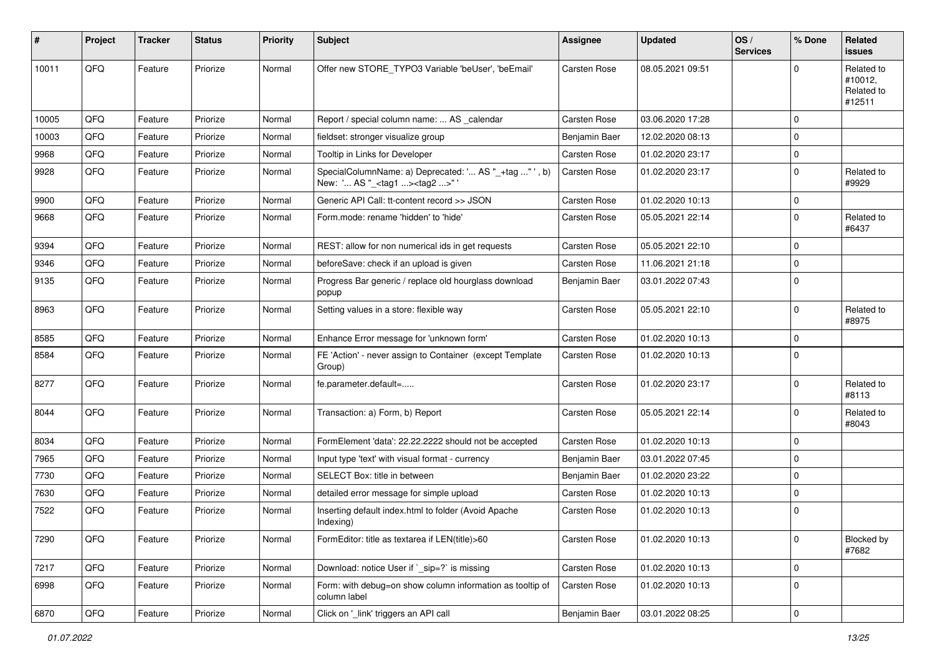| #     | Project | <b>Tracker</b> | <b>Status</b> | <b>Priority</b> | Subject                                                                                           | <b>Assignee</b>     | <b>Updated</b>   | OS/<br><b>Services</b> | % Done      | Related<br>issues                             |
|-------|---------|----------------|---------------|-----------------|---------------------------------------------------------------------------------------------------|---------------------|------------------|------------------------|-------------|-----------------------------------------------|
| 10011 | QFQ     | Feature        | Priorize      | Normal          | Offer new STORE_TYPO3 Variable 'beUser', 'beEmail'                                                | <b>Carsten Rose</b> | 08.05.2021 09:51 |                        | $\Omega$    | Related to<br>#10012,<br>Related to<br>#12511 |
| 10005 | QFQ     | Feature        | Priorize      | Normal          | Report / special column name:  AS _calendar                                                       | <b>Carsten Rose</b> | 03.06.2020 17:28 |                        | $\Omega$    |                                               |
| 10003 | QFQ     | Feature        | Priorize      | Normal          | fieldset: stronger visualize group                                                                | Benjamin Baer       | 12.02.2020 08:13 |                        | $\mathbf 0$ |                                               |
| 9968  | QFQ     | Feature        | Priorize      | Normal          | Tooltip in Links for Developer                                                                    | <b>Carsten Rose</b> | 01.02.2020 23:17 |                        | $\mathbf 0$ |                                               |
| 9928  | QFQ     | Feature        | Priorize      | Normal          | SpecialColumnName: a) Deprecated: ' AS "_+tag " ', b)<br>New: ' AS "_ <tag1><tag2>"</tag2></tag1> | Carsten Rose        | 01.02.2020 23:17 |                        | $\mathbf 0$ | Related to<br>#9929                           |
| 9900  | QFQ     | Feature        | Priorize      | Normal          | Generic API Call: tt-content record >> JSON                                                       | <b>Carsten Rose</b> | 01.02.2020 10:13 |                        | $\mathbf 0$ |                                               |
| 9668  | QFQ     | Feature        | Priorize      | Normal          | Form.mode: rename 'hidden' to 'hide'                                                              | <b>Carsten Rose</b> | 05.05.2021 22:14 |                        | $\mathbf 0$ | Related to<br>#6437                           |
| 9394  | QFQ     | Feature        | Priorize      | Normal          | REST: allow for non numerical ids in get requests                                                 | <b>Carsten Rose</b> | 05.05.2021 22:10 |                        | $\mathbf 0$ |                                               |
| 9346  | QFQ     | Feature        | Priorize      | Normal          | beforeSave: check if an upload is given                                                           | Carsten Rose        | 11.06.2021 21:18 |                        | $\mathbf 0$ |                                               |
| 9135  | QFQ     | Feature        | Priorize      | Normal          | Progress Bar generic / replace old hourglass download<br>popup                                    | Benjamin Baer       | 03.01.2022 07:43 |                        | $\mathbf 0$ |                                               |
| 8963  | QFQ     | Feature        | Priorize      | Normal          | Setting values in a store: flexible way                                                           | Carsten Rose        | 05.05.2021 22:10 |                        | $\mathbf 0$ | Related to<br>#8975                           |
| 8585  | QFQ     | Feature        | Priorize      | Normal          | Enhance Error message for 'unknown form'                                                          | <b>Carsten Rose</b> | 01.02.2020 10:13 |                        | $\Omega$    |                                               |
| 8584  | QFQ     | Feature        | Priorize      | Normal          | FE 'Action' - never assign to Container (except Template<br>Group)                                | <b>Carsten Rose</b> | 01.02.2020 10:13 |                        | $\mathbf 0$ |                                               |
| 8277  | QFQ     | Feature        | Priorize      | Normal          | fe.parameter.default=                                                                             | <b>Carsten Rose</b> | 01.02.2020 23:17 |                        | $\mathbf 0$ | Related to<br>#8113                           |
| 8044  | QFQ     | Feature        | Priorize      | Normal          | Transaction: a) Form, b) Report                                                                   | <b>Carsten Rose</b> | 05.05.2021 22:14 |                        | $\mathbf 0$ | Related to<br>#8043                           |
| 8034  | QFQ     | Feature        | Priorize      | Normal          | FormElement 'data': 22.22.2222 should not be accepted                                             | <b>Carsten Rose</b> | 01.02.2020 10:13 |                        | $\mathbf 0$ |                                               |
| 7965  | QFQ     | Feature        | Priorize      | Normal          | Input type 'text' with visual format - currency                                                   | Benjamin Baer       | 03.01.2022 07:45 |                        | $\mathbf 0$ |                                               |
| 7730  | QFQ     | Feature        | Priorize      | Normal          | SELECT Box: title in between                                                                      | Benjamin Baer       | 01.02.2020 23:22 |                        | $\mathbf 0$ |                                               |
| 7630  | QFQ     | Feature        | Priorize      | Normal          | detailed error message for simple upload                                                          | <b>Carsten Rose</b> | 01.02.2020 10:13 |                        | 0           |                                               |
| 7522  | QFQ     | Feature        | Priorize      | Normal          | Inserting default index.html to folder (Avoid Apache<br>Indexing)                                 | <b>Carsten Rose</b> | 01.02.2020 10:13 |                        | $\mathbf 0$ |                                               |
| 7290  | QFQ     | Feature        | Priorize      | Normal          | FormEditor: title as textarea if LEN(title)>60                                                    | Carsten Rose        | 01.02.2020 10:13 |                        | 0           | Blocked by<br>#7682                           |
| 7217  | QFQ     | Feature        | Priorize      | Normal          | Download: notice User if ` sip=?` is missing                                                      | Carsten Rose        | 01.02.2020 10:13 |                        | $\mathbf 0$ |                                               |
| 6998  | QFQ     | Feature        | Priorize      | Normal          | Form: with debug=on show column information as tooltip of<br>column label                         | Carsten Rose        | 01.02.2020 10:13 |                        | 0           |                                               |
| 6870  | QFQ     | Feature        | Priorize      | Normal          | Click on '_link' triggers an API call                                                             | Benjamin Baer       | 03.01.2022 08:25 |                        | 0           |                                               |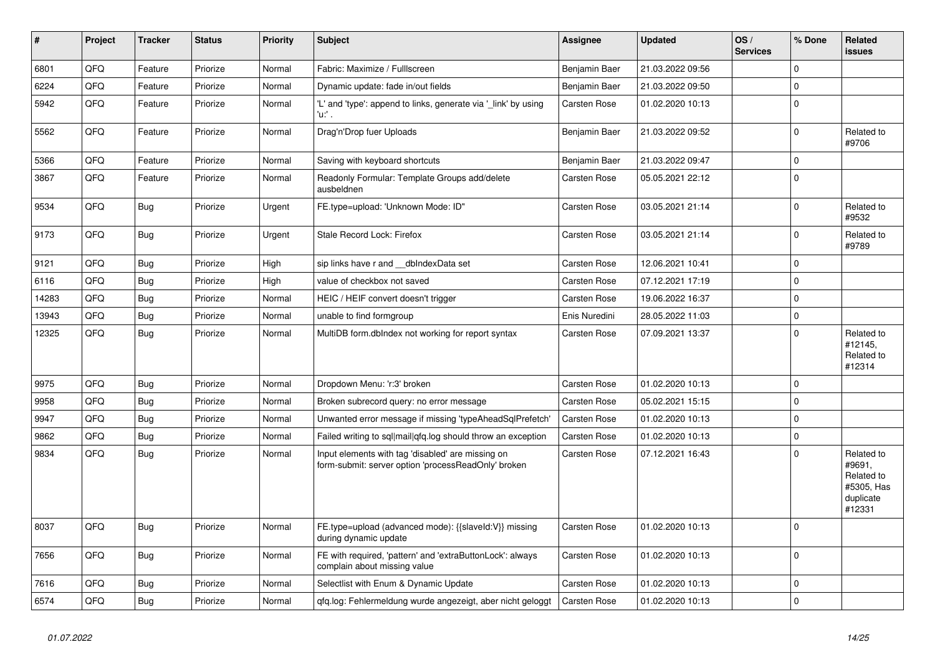| #     | Project | <b>Tracker</b> | <b>Status</b> | <b>Priority</b> | <b>Subject</b>                                                                                           | Assignee            | <b>Updated</b>   | OS/<br><b>Services</b> | % Done       | <b>Related</b><br><b>issues</b>                                         |
|-------|---------|----------------|---------------|-----------------|----------------------------------------------------------------------------------------------------------|---------------------|------------------|------------------------|--------------|-------------------------------------------------------------------------|
| 6801  | QFQ     | Feature        | Priorize      | Normal          | Fabric: Maximize / Fulllscreen                                                                           | Benjamin Baer       | 21.03.2022 09:56 |                        | $\Omega$     |                                                                         |
| 6224  | QFQ     | Feature        | Priorize      | Normal          | Dynamic update: fade in/out fields                                                                       | Benjamin Baer       | 21.03.2022 09:50 |                        | 0            |                                                                         |
| 5942  | QFQ     | Feature        | Priorize      | Normal          | 'L' and 'type': append to links, generate via '_link' by using<br>'u:' .                                 | Carsten Rose        | 01.02.2020 10:13 |                        | $\mathbf 0$  |                                                                         |
| 5562  | QFQ     | Feature        | Priorize      | Normal          | Drag'n'Drop fuer Uploads                                                                                 | Benjamin Baer       | 21.03.2022 09:52 |                        | $\mathbf{0}$ | Related to<br>#9706                                                     |
| 5366  | QFQ     | Feature        | Priorize      | Normal          | Saving with keyboard shortcuts                                                                           | Benjamin Baer       | 21.03.2022 09:47 |                        | $\Omega$     |                                                                         |
| 3867  | QFQ     | Feature        | Priorize      | Normal          | Readonly Formular: Template Groups add/delete<br>ausbeldnen                                              | Carsten Rose        | 05.05.2021 22:12 |                        | $\Omega$     |                                                                         |
| 9534  | QFQ     | <b>Bug</b>     | Priorize      | Urgent          | FE.type=upload: 'Unknown Mode: ID"                                                                       | Carsten Rose        | 03.05.2021 21:14 |                        | 0            | Related to<br>#9532                                                     |
| 9173  | QFQ     | Bug            | Priorize      | Urgent          | Stale Record Lock: Firefox                                                                               | Carsten Rose        | 03.05.2021 21:14 |                        | 0            | Related to<br>#9789                                                     |
| 9121  | QFQ     | Bug            | Priorize      | High            | sip links have r and __dbIndexData set                                                                   | Carsten Rose        | 12.06.2021 10:41 |                        | 0            |                                                                         |
| 6116  | QFQ     | <b>Bug</b>     | Priorize      | High            | value of checkbox not saved                                                                              | Carsten Rose        | 07.12.2021 17:19 |                        | 0            |                                                                         |
| 14283 | QFQ     | Bug            | Priorize      | Normal          | HEIC / HEIF convert doesn't trigger                                                                      | Carsten Rose        | 19.06.2022 16:37 |                        | $\mathbf 0$  |                                                                         |
| 13943 | QFQ     | Bug            | Priorize      | Normal          | unable to find formgroup                                                                                 | Enis Nuredini       | 28.05.2022 11:03 |                        | 0            |                                                                         |
| 12325 | QFQ     | Bug            | Priorize      | Normal          | MultiDB form.dblndex not working for report syntax                                                       | Carsten Rose        | 07.09.2021 13:37 |                        | $\Omega$     | Related to<br>#12145,<br>Related to<br>#12314                           |
| 9975  | QFQ     | Bug            | Priorize      | Normal          | Dropdown Menu: 'r:3' broken                                                                              | Carsten Rose        | 01.02.2020 10:13 |                        | $\mathbf 0$  |                                                                         |
| 9958  | QFQ     | Bug            | Priorize      | Normal          | Broken subrecord query: no error message                                                                 | Carsten Rose        | 05.02.2021 15:15 |                        | 0            |                                                                         |
| 9947  | QFQ     | <b>Bug</b>     | Priorize      | Normal          | Unwanted error message if missing 'typeAheadSglPrefetch'                                                 | Carsten Rose        | 01.02.2020 10:13 |                        | $\Omega$     |                                                                         |
| 9862  | QFQ     | Bug            | Priorize      | Normal          | Failed writing to sql mail qfq.log should throw an exception                                             | <b>Carsten Rose</b> | 01.02.2020 10:13 |                        | 0            |                                                                         |
| 9834  | QFQ     | <b>Bug</b>     | Priorize      | Normal          | Input elements with tag 'disabled' are missing on<br>form-submit: server option 'processReadOnly' broken | Carsten Rose        | 07.12.2021 16:43 |                        | $\mathbf 0$  | Related to<br>#9691,<br>Related to<br>#5305, Has<br>duplicate<br>#12331 |
| 8037  | QFQ     | <b>Bug</b>     | Priorize      | Normal          | FE.type=upload (advanced mode): {{slaveld:V}} missing<br>during dynamic update                           | Carsten Rose        | 01.02.2020 10:13 |                        | $\mathbf 0$  |                                                                         |
| 7656  | QFQ     | Bug            | Priorize      | Normal          | FE with required, 'pattern' and 'extraButtonLock': always<br>complain about missing value                | <b>Carsten Rose</b> | 01.02.2020 10:13 |                        | $\mathbf 0$  |                                                                         |
| 7616  | QFQ     | Bug            | Priorize      | Normal          | Selectlist with Enum & Dynamic Update                                                                    | Carsten Rose        | 01.02.2020 10:13 |                        | $\mathbf 0$  |                                                                         |
| 6574  | QFQ     | Bug            | Priorize      | Normal          | gfg.log: Fehlermeldung wurde angezeigt, aber nicht geloggt                                               | <b>Carsten Rose</b> | 01.02.2020 10:13 |                        | $\mathbf 0$  |                                                                         |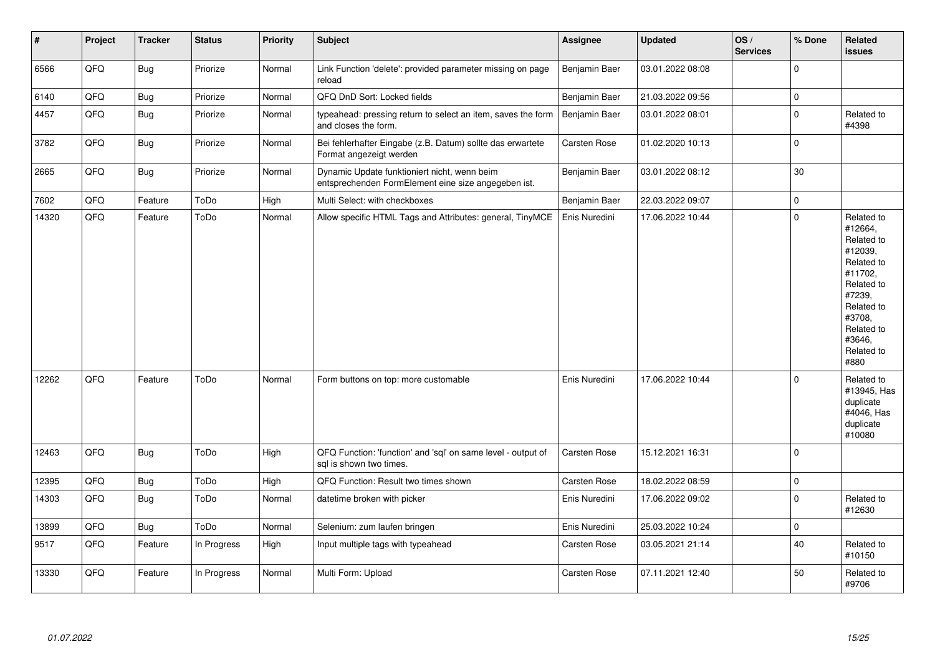| #     | Project | <b>Tracker</b> | <b>Status</b> | Priority | <b>Subject</b>                                                                                      | <b>Assignee</b>     | <b>Updated</b>   | OS/<br><b>Services</b> | % Done              | Related<br><b>issues</b>                                                                                                                                              |
|-------|---------|----------------|---------------|----------|-----------------------------------------------------------------------------------------------------|---------------------|------------------|------------------------|---------------------|-----------------------------------------------------------------------------------------------------------------------------------------------------------------------|
| 6566  | QFQ     | Bug            | Priorize      | Normal   | Link Function 'delete': provided parameter missing on page<br>reload                                | Benjamin Baer       | 03.01.2022 08:08 |                        | $\mathbf 0$         |                                                                                                                                                                       |
| 6140  | QFQ     | Bug            | Priorize      | Normal   | QFQ DnD Sort: Locked fields                                                                         | Benjamin Baer       | 21.03.2022 09:56 |                        | $\mathbf 0$         |                                                                                                                                                                       |
| 4457  | QFQ     | <b>Bug</b>     | Priorize      | Normal   | typeahead: pressing return to select an item, saves the form<br>and closes the form.                | Benjamin Baer       | 03.01.2022 08:01 |                        | $\Omega$            | Related to<br>#4398                                                                                                                                                   |
| 3782  | QFQ     | <b>Bug</b>     | Priorize      | Normal   | Bei fehlerhafter Eingabe (z.B. Datum) sollte das erwartete<br>Format angezeigt werden               | <b>Carsten Rose</b> | 01.02.2020 10:13 |                        | $\mathbf 0$         |                                                                                                                                                                       |
| 2665  | QFQ     | <b>Bug</b>     | Priorize      | Normal   | Dynamic Update funktioniert nicht, wenn beim<br>entsprechenden FormElement eine size angegeben ist. | Benjamin Baer       | 03.01.2022 08:12 |                        | 30                  |                                                                                                                                                                       |
| 7602  | QFQ     | Feature        | ToDo          | High     | Multi Select: with checkboxes                                                                       | Benjamin Baer       | 22.03.2022 09:07 |                        | $\pmb{0}$           |                                                                                                                                                                       |
| 14320 | QFQ     | Feature        | ToDo          | Normal   | Allow specific HTML Tags and Attributes: general, TinyMCE                                           | Enis Nuredini       | 17.06.2022 10:44 |                        | $\Omega$            | Related to<br>#12664,<br>Related to<br>#12039,<br>Related to<br>#11702,<br>Related to<br>#7239,<br>Related to<br>#3708,<br>Related to<br>#3646,<br>Related to<br>#880 |
| 12262 | QFQ     | Feature        | ToDo          | Normal   | Form buttons on top: more customable                                                                | Enis Nuredini       | 17.06.2022 10:44 |                        | $\mathbf 0$         | Related to<br>#13945, Has<br>duplicate<br>#4046, Has<br>duplicate<br>#10080                                                                                           |
| 12463 | QFQ     | Bug            | ToDo          | High     | QFQ Function: 'function' and 'sql' on same level - output of<br>sql is shown two times.             | <b>Carsten Rose</b> | 15.12.2021 16:31 |                        | $\mathbf 0$         |                                                                                                                                                                       |
| 12395 | QFQ     | <b>Bug</b>     | ToDo          | High     | QFQ Function: Result two times shown                                                                | <b>Carsten Rose</b> | 18.02.2022 08:59 |                        | $\mathbf 0$         |                                                                                                                                                                       |
| 14303 | QFQ     | Bug            | ToDo          | Normal   | datetime broken with picker                                                                         | Enis Nuredini       | 17.06.2022 09:02 |                        | $\Omega$            | Related to<br>#12630                                                                                                                                                  |
| 13899 | QFQ     | <b>Bug</b>     | ToDo          | Normal   | Selenium: zum laufen bringen                                                                        | Enis Nuredini       | 25.03.2022 10:24 |                        | $\mathsf{O}\xspace$ |                                                                                                                                                                       |
| 9517  | QFO     | Feature        | In Progress   | High     | Input multiple tags with typeahead                                                                  | Carsten Rose        | 03.05.2021 21:14 |                        | 40                  | Related to<br>#10150                                                                                                                                                  |
| 13330 | QFQ     | Feature        | In Progress   | Normal   | Multi Form: Upload                                                                                  | <b>Carsten Rose</b> | 07.11.2021 12:40 |                        | 50                  | Related to<br>#9706                                                                                                                                                   |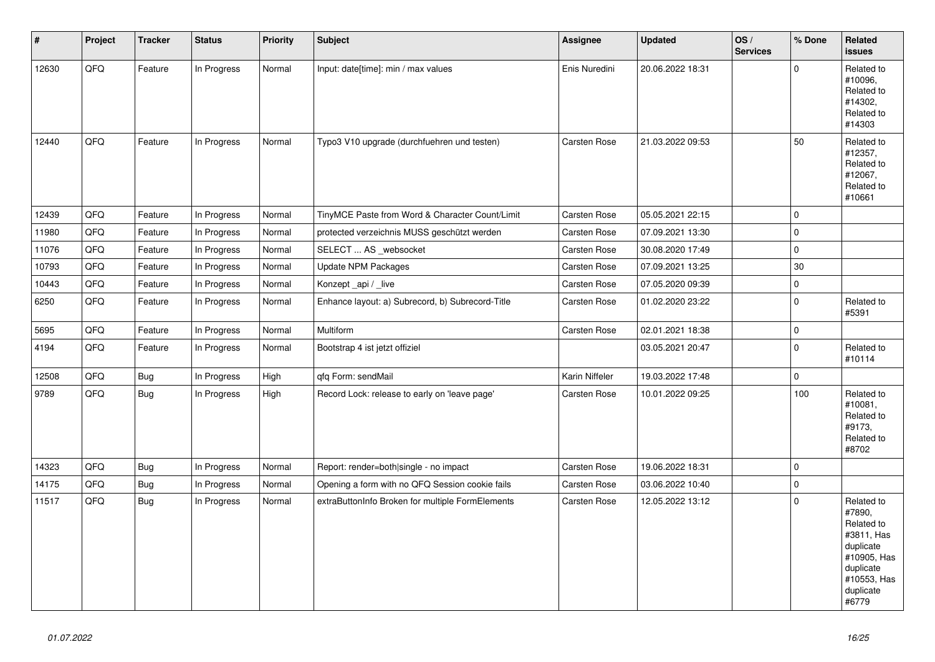| $\pmb{\sharp}$ | Project | <b>Tracker</b> | <b>Status</b> | <b>Priority</b> | <b>Subject</b>                                   | Assignee            | <b>Updated</b>   | OS/<br><b>Services</b> | % Done      | Related<br><b>issues</b>                                                                                                       |
|----------------|---------|----------------|---------------|-----------------|--------------------------------------------------|---------------------|------------------|------------------------|-------------|--------------------------------------------------------------------------------------------------------------------------------|
| 12630          | QFQ     | Feature        | In Progress   | Normal          | Input: date[time]: min / max values              | Enis Nuredini       | 20.06.2022 18:31 |                        | $\Omega$    | Related to<br>#10096,<br>Related to<br>#14302,<br>Related to<br>#14303                                                         |
| 12440          | QFQ     | Feature        | In Progress   | Normal          | Typo3 V10 upgrade (durchfuehren und testen)      | Carsten Rose        | 21.03.2022 09:53 |                        | 50          | Related to<br>#12357,<br>Related to<br>#12067,<br>Related to<br>#10661                                                         |
| 12439          | QFQ     | Feature        | In Progress   | Normal          | TinyMCE Paste from Word & Character Count/Limit  | <b>Carsten Rose</b> | 05.05.2021 22:15 |                        | $\mathbf 0$ |                                                                                                                                |
| 11980          | QFQ     | Feature        | In Progress   | Normal          | protected verzeichnis MUSS geschützt werden      | Carsten Rose        | 07.09.2021 13:30 |                        | $\mathsf 0$ |                                                                                                                                |
| 11076          | QFQ     | Feature        | In Progress   | Normal          | SELECT  AS _websocket                            | Carsten Rose        | 30.08.2020 17:49 |                        | $\mathbf 0$ |                                                                                                                                |
| 10793          | QFQ     | Feature        | In Progress   | Normal          | Update NPM Packages                              | Carsten Rose        | 07.09.2021 13:25 |                        | 30          |                                                                                                                                |
| 10443          | QFQ     | Feature        | In Progress   | Normal          | Konzept_api / _live                              | Carsten Rose        | 07.05.2020 09:39 |                        | $\pmb{0}$   |                                                                                                                                |
| 6250           | QFQ     | Feature        | In Progress   | Normal          | Enhance layout: a) Subrecord, b) Subrecord-Title | Carsten Rose        | 01.02.2020 23:22 |                        | $\mathbf 0$ | Related to<br>#5391                                                                                                            |
| 5695           | QFQ     | Feature        | In Progress   | Normal          | Multiform                                        | Carsten Rose        | 02.01.2021 18:38 |                        | $\mathsf 0$ |                                                                                                                                |
| 4194           | QFQ     | Feature        | In Progress   | Normal          | Bootstrap 4 ist jetzt offiziel                   |                     | 03.05.2021 20:47 |                        | $\mathbf 0$ | Related to<br>#10114                                                                                                           |
| 12508          | QFQ     | Bug            | In Progress   | High            | qfq Form: sendMail                               | Karin Niffeler      | 19.03.2022 17:48 |                        | $\mathbf 0$ |                                                                                                                                |
| 9789           | QFQ     | Bug            | In Progress   | High            | Record Lock: release to early on 'leave page'    | Carsten Rose        | 10.01.2022 09:25 |                        | 100         | Related to<br>#10081,<br>Related to<br>#9173,<br>Related to<br>#8702                                                           |
| 14323          | QFQ     | <b>Bug</b>     | In Progress   | Normal          | Report: render=both single - no impact           | <b>Carsten Rose</b> | 19.06.2022 18:31 |                        | $\mathsf 0$ |                                                                                                                                |
| 14175          | QFQ     | <b>Bug</b>     | In Progress   | Normal          | Opening a form with no QFQ Session cookie fails  | Carsten Rose        | 03.06.2022 10:40 |                        | $\mathsf 0$ |                                                                                                                                |
| 11517          | QFQ     | <b>Bug</b>     | In Progress   | Normal          | extraButtonInfo Broken for multiple FormElements | Carsten Rose        | 12.05.2022 13:12 |                        | $\Omega$    | Related to<br>#7890,<br>Related to<br>#3811, Has<br>duplicate<br>#10905, Has<br>duplicate<br>#10553, Has<br>duplicate<br>#6779 |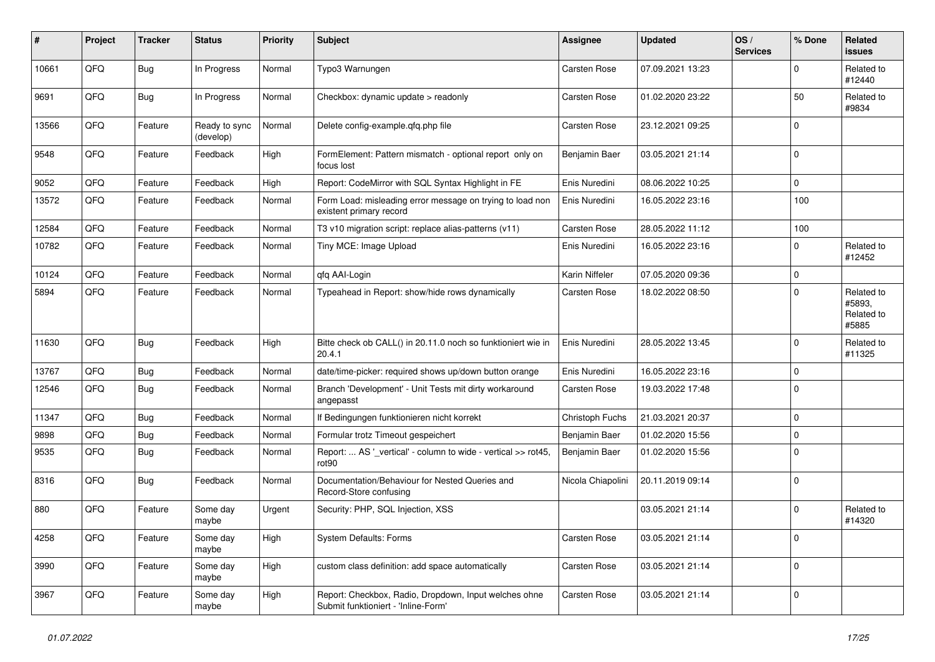| ∦     | Project | <b>Tracker</b> | <b>Status</b>              | <b>Priority</b> | <b>Subject</b>                                                                               | <b>Assignee</b>     | <b>Updated</b>   | OS/<br><b>Services</b> | % Done      | <b>Related</b><br><b>issues</b>             |
|-------|---------|----------------|----------------------------|-----------------|----------------------------------------------------------------------------------------------|---------------------|------------------|------------------------|-------------|---------------------------------------------|
| 10661 | QFQ     | <b>Bug</b>     | In Progress                | Normal          | Typo3 Warnungen                                                                              | Carsten Rose        | 07.09.2021 13:23 |                        | $\mathbf 0$ | Related to<br>#12440                        |
| 9691  | QFQ     | Bug            | In Progress                | Normal          | Checkbox: dynamic update > readonly                                                          | Carsten Rose        | 01.02.2020 23:22 |                        | 50          | Related to<br>#9834                         |
| 13566 | QFQ     | Feature        | Ready to sync<br>(develop) | Normal          | Delete config-example.qfq.php file                                                           | Carsten Rose        | 23.12.2021 09:25 |                        | $\Omega$    |                                             |
| 9548  | QFQ     | Feature        | Feedback                   | High            | FormElement: Pattern mismatch - optional report only on<br>focus lost                        | Benjamin Baer       | 03.05.2021 21:14 |                        | $\mathbf 0$ |                                             |
| 9052  | QFQ     | Feature        | Feedback                   | High            | Report: CodeMirror with SQL Syntax Highlight in FE                                           | Enis Nuredini       | 08.06.2022 10:25 |                        | 0           |                                             |
| 13572 | QFQ     | Feature        | Feedback                   | Normal          | Form Load: misleading error message on trying to load non<br>existent primary record         | Enis Nuredini       | 16.05.2022 23:16 |                        | 100         |                                             |
| 12584 | QFQ     | Feature        | Feedback                   | Normal          | T3 v10 migration script: replace alias-patterns (v11)                                        | Carsten Rose        | 28.05.2022 11:12 |                        | 100         |                                             |
| 10782 | QFQ     | Feature        | Feedback                   | Normal          | Tiny MCE: Image Upload                                                                       | Enis Nuredini       | 16.05.2022 23:16 |                        | 0           | Related to<br>#12452                        |
| 10124 | QFQ     | Feature        | Feedback                   | Normal          | gfg AAI-Login                                                                                | Karin Niffeler      | 07.05.2020 09:36 |                        | $\mathbf 0$ |                                             |
| 5894  | QFQ     | Feature        | Feedback                   | Normal          | Typeahead in Report: show/hide rows dynamically                                              | Carsten Rose        | 18.02.2022 08:50 |                        | $\mathbf 0$ | Related to<br>#5893,<br>Related to<br>#5885 |
| 11630 | QFQ     | Bug            | Feedback                   | High            | Bitte check ob CALL() in 20.11.0 noch so funktioniert wie in<br>20.4.1                       | Enis Nuredini       | 28.05.2022 13:45 |                        | $\mathbf 0$ | Related to<br>#11325                        |
| 13767 | QFQ     | <b>Bug</b>     | Feedback                   | Normal          | date/time-picker: required shows up/down button orange                                       | Enis Nuredini       | 16.05.2022 23:16 |                        | 0           |                                             |
| 12546 | QFQ     | <b>Bug</b>     | Feedback                   | Normal          | Branch 'Development' - Unit Tests mit dirty workaround<br>angepasst                          | Carsten Rose        | 19.03.2022 17:48 |                        | $\Omega$    |                                             |
| 11347 | QFQ     | <b>Bug</b>     | Feedback                   | Normal          | If Bedingungen funktionieren nicht korrekt                                                   | Christoph Fuchs     | 21.03.2021 20:37 |                        | $\mathbf 0$ |                                             |
| 9898  | QFQ     | <b>Bug</b>     | Feedback                   | Normal          | Formular trotz Timeout gespeichert                                                           | Benjamin Baer       | 01.02.2020 15:56 |                        | $\mathbf 0$ |                                             |
| 9535  | QFQ     | <b>Bug</b>     | Feedback                   | Normal          | Report:  AS '_vertical' - column to wide - vertical >> rot45,<br>rot90                       | Benjamin Baer       | 01.02.2020 15:56 |                        | $\Omega$    |                                             |
| 8316  | QFQ     | Bug            | Feedback                   | Normal          | Documentation/Behaviour for Nested Queries and<br>Record-Store confusing                     | Nicola Chiapolini   | 20.11.2019 09:14 |                        | $\mathbf 0$ |                                             |
| 880   | QFQ     | Feature        | Some day<br>maybe          | Urgent          | Security: PHP, SQL Injection, XSS                                                            |                     | 03.05.2021 21:14 |                        | $\mathbf 0$ | Related to<br>#14320                        |
| 4258  | QFQ     | Feature        | Some day<br>maybe          | High            | <b>System Defaults: Forms</b>                                                                | Carsten Rose        | 03.05.2021 21:14 |                        | 0           |                                             |
| 3990  | QFQ     | Feature        | Some day<br>maybe          | High            | custom class definition: add space automatically                                             | Carsten Rose        | 03.05.2021 21:14 |                        | $\Omega$    |                                             |
| 3967  | QFQ     | Feature        | Some day<br>maybe          | High            | Report: Checkbox, Radio, Dropdown, Input welches ohne<br>Submit funktioniert - 'Inline-Form' | <b>Carsten Rose</b> | 03.05.2021 21:14 |                        | $\Omega$    |                                             |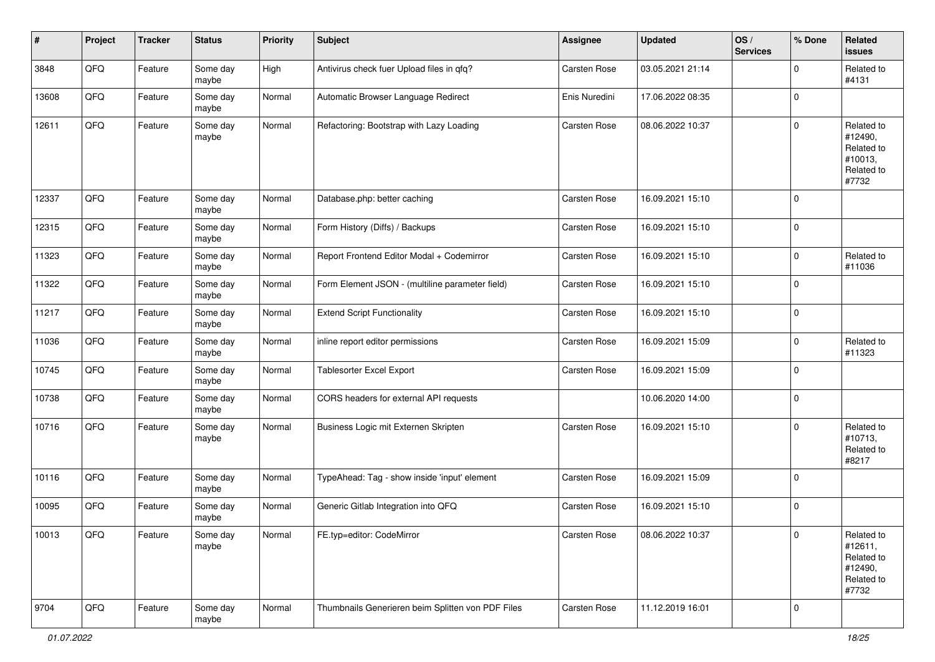| #     | Project | <b>Tracker</b> | <b>Status</b>     | <b>Priority</b> | <b>Subject</b>                                    | <b>Assignee</b>     | <b>Updated</b>   | OS/<br><b>Services</b> | % Done      | Related<br>issues                                                     |
|-------|---------|----------------|-------------------|-----------------|---------------------------------------------------|---------------------|------------------|------------------------|-------------|-----------------------------------------------------------------------|
| 3848  | QFQ     | Feature        | Some day<br>maybe | High            | Antivirus check fuer Upload files in qfq?         | Carsten Rose        | 03.05.2021 21:14 |                        | $\mathbf 0$ | Related to<br>#4131                                                   |
| 13608 | QFQ     | Feature        | Some day<br>maybe | Normal          | Automatic Browser Language Redirect               | Enis Nuredini       | 17.06.2022 08:35 |                        | 0           |                                                                       |
| 12611 | QFQ     | Feature        | Some day<br>maybe | Normal          | Refactoring: Bootstrap with Lazy Loading          | Carsten Rose        | 08.06.2022 10:37 |                        | 0           | Related to<br>#12490,<br>Related to<br>#10013,<br>Related to<br>#7732 |
| 12337 | QFQ     | Feature        | Some day<br>maybe | Normal          | Database.php: better caching                      | Carsten Rose        | 16.09.2021 15:10 |                        | $\mathbf 0$ |                                                                       |
| 12315 | QFQ     | Feature        | Some day<br>maybe | Normal          | Form History (Diffs) / Backups                    | <b>Carsten Rose</b> | 16.09.2021 15:10 |                        | 0           |                                                                       |
| 11323 | QFQ     | Feature        | Some day<br>maybe | Normal          | Report Frontend Editor Modal + Codemirror         | <b>Carsten Rose</b> | 16.09.2021 15:10 |                        | $\mathbf 0$ | Related to<br>#11036                                                  |
| 11322 | QFQ     | Feature        | Some day<br>maybe | Normal          | Form Element JSON - (multiline parameter field)   | <b>Carsten Rose</b> | 16.09.2021 15:10 |                        | 0           |                                                                       |
| 11217 | QFQ     | Feature        | Some day<br>maybe | Normal          | <b>Extend Script Functionality</b>                | <b>Carsten Rose</b> | 16.09.2021 15:10 |                        | $\mathbf 0$ |                                                                       |
| 11036 | QFQ     | Feature        | Some day<br>maybe | Normal          | inline report editor permissions                  | <b>Carsten Rose</b> | 16.09.2021 15:09 |                        | $\mathbf 0$ | Related to<br>#11323                                                  |
| 10745 | QFQ     | Feature        | Some day<br>maybe | Normal          | <b>Tablesorter Excel Export</b>                   | <b>Carsten Rose</b> | 16.09.2021 15:09 |                        | $\mathbf 0$ |                                                                       |
| 10738 | QFQ     | Feature        | Some day<br>maybe | Normal          | CORS headers for external API requests            |                     | 10.06.2020 14:00 |                        | $\mathbf 0$ |                                                                       |
| 10716 | QFQ     | Feature        | Some day<br>maybe | Normal          | Business Logic mit Externen Skripten              | <b>Carsten Rose</b> | 16.09.2021 15:10 |                        | 0           | Related to<br>#10713,<br>Related to<br>#8217                          |
| 10116 | QFQ     | Feature        | Some day<br>maybe | Normal          | TypeAhead: Tag - show inside 'input' element      | Carsten Rose        | 16.09.2021 15:09 |                        | $\mathbf 0$ |                                                                       |
| 10095 | QFQ     | Feature        | Some day<br>maybe | Normal          | Generic Gitlab Integration into QFQ               | <b>Carsten Rose</b> | 16.09.2021 15:10 |                        | 0           |                                                                       |
| 10013 | QFG     | Feature        | Some day<br>maybe | Normal          | FE.typ=editor: CodeMirror                         | <b>Carsten Rose</b> | 08.06.2022 10:37 |                        | 0           | Related to<br>#12611,<br>Related to<br>#12490,<br>Related to<br>#7732 |
| 9704  | QFQ     | Feature        | Some day<br>maybe | Normal          | Thumbnails Generieren beim Splitten von PDF Files | Carsten Rose        | 11.12.2019 16:01 |                        | 0           |                                                                       |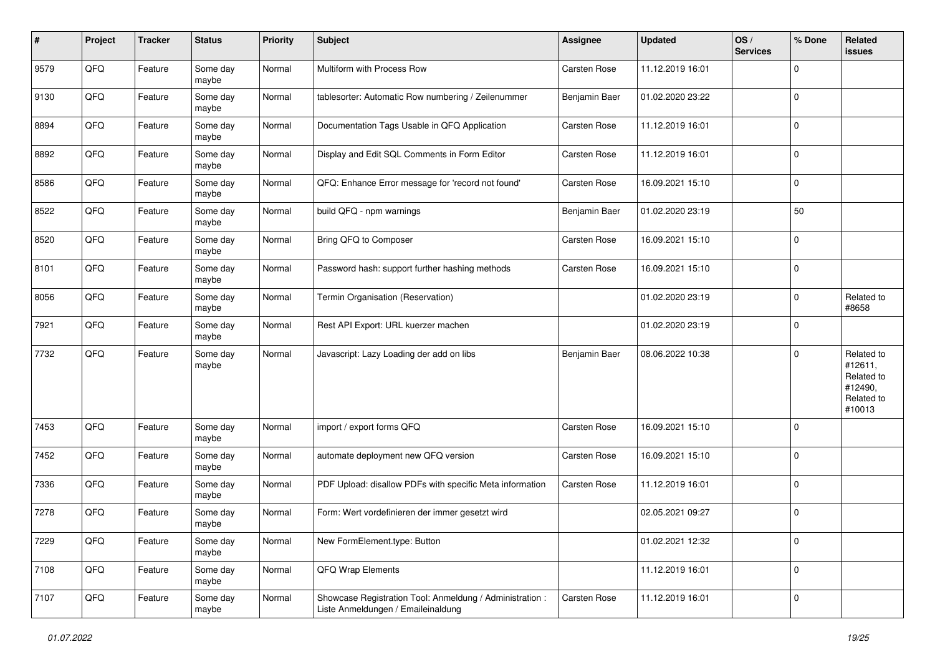| $\sharp$ | Project | <b>Tracker</b> | <b>Status</b>     | <b>Priority</b> | <b>Subject</b>                                                                                 | Assignee            | <b>Updated</b>   | OS/<br><b>Services</b> | % Done              | Related<br><b>issues</b>                                               |
|----------|---------|----------------|-------------------|-----------------|------------------------------------------------------------------------------------------------|---------------------|------------------|------------------------|---------------------|------------------------------------------------------------------------|
| 9579     | QFQ     | Feature        | Some day<br>maybe | Normal          | Multiform with Process Row                                                                     | Carsten Rose        | 11.12.2019 16:01 |                        | $\mathbf 0$         |                                                                        |
| 9130     | QFQ     | Feature        | Some day<br>maybe | Normal          | tablesorter: Automatic Row numbering / Zeilenummer                                             | Benjamin Baer       | 01.02.2020 23:22 |                        | $\mathbf 0$         |                                                                        |
| 8894     | QFQ     | Feature        | Some day<br>maybe | Normal          | Documentation Tags Usable in QFQ Application                                                   | Carsten Rose        | 11.12.2019 16:01 |                        | $\mathbf 0$         |                                                                        |
| 8892     | QFQ     | Feature        | Some day<br>maybe | Normal          | Display and Edit SQL Comments in Form Editor                                                   | <b>Carsten Rose</b> | 11.12.2019 16:01 |                        | $\mathbf 0$         |                                                                        |
| 8586     | QFQ     | Feature        | Some day<br>maybe | Normal          | QFQ: Enhance Error message for 'record not found'                                              | Carsten Rose        | 16.09.2021 15:10 |                        | $\mathbf 0$         |                                                                        |
| 8522     | QFQ     | Feature        | Some day<br>maybe | Normal          | build QFQ - npm warnings                                                                       | Benjamin Baer       | 01.02.2020 23:19 |                        | 50                  |                                                                        |
| 8520     | QFQ     | Feature        | Some day<br>maybe | Normal          | Bring QFQ to Composer                                                                          | <b>Carsten Rose</b> | 16.09.2021 15:10 |                        | $\mathbf 0$         |                                                                        |
| 8101     | QFQ     | Feature        | Some day<br>maybe | Normal          | Password hash: support further hashing methods                                                 | Carsten Rose        | 16.09.2021 15:10 |                        | $\mathbf 0$         |                                                                        |
| 8056     | QFQ     | Feature        | Some day<br>maybe | Normal          | Termin Organisation (Reservation)                                                              |                     | 01.02.2020 23:19 |                        | $\mathbf 0$         | Related to<br>#8658                                                    |
| 7921     | QFQ     | Feature        | Some day<br>maybe | Normal          | Rest API Export: URL kuerzer machen                                                            |                     | 01.02.2020 23:19 |                        | $\mathbf 0$         |                                                                        |
| 7732     | QFQ     | Feature        | Some day<br>maybe | Normal          | Javascript: Lazy Loading der add on libs                                                       | Benjamin Baer       | 08.06.2022 10:38 |                        | $\mathbf 0$         | Related to<br>#12611,<br>Related to<br>#12490,<br>Related to<br>#10013 |
| 7453     | QFQ     | Feature        | Some day<br>maybe | Normal          | import / export forms QFQ                                                                      | Carsten Rose        | 16.09.2021 15:10 |                        | $\mathbf 0$         |                                                                        |
| 7452     | QFQ     | Feature        | Some day<br>maybe | Normal          | automate deployment new QFQ version                                                            | Carsten Rose        | 16.09.2021 15:10 |                        | 0                   |                                                                        |
| 7336     | QFQ     | Feature        | Some day<br>maybe | Normal          | PDF Upload: disallow PDFs with specific Meta information                                       | Carsten Rose        | 11.12.2019 16:01 |                        | 0                   |                                                                        |
| 7278     | QFQ     | Feature        | Some day<br>maybe | Normal          | Form: Wert vordefinieren der immer gesetzt wird                                                |                     | 02.05.2021 09:27 |                        | $\mathbf 0$         |                                                                        |
| 7229     | QFQ     | Feature        | Some day<br>maybe | Normal          | New FormElement.type: Button                                                                   |                     | 01.02.2021 12:32 |                        | $\mathbf 0$         |                                                                        |
| 7108     | QFQ     | Feature        | Some day<br>maybe | Normal          | QFQ Wrap Elements                                                                              |                     | 11.12.2019 16:01 |                        | $\mathsf{O}\xspace$ |                                                                        |
| 7107     | QFQ     | Feature        | Some day<br>maybe | Normal          | Showcase Registration Tool: Anmeldung / Administration :<br>Liste Anmeldungen / Emaileinaldung | Carsten Rose        | 11.12.2019 16:01 |                        | $\mathbf 0$         |                                                                        |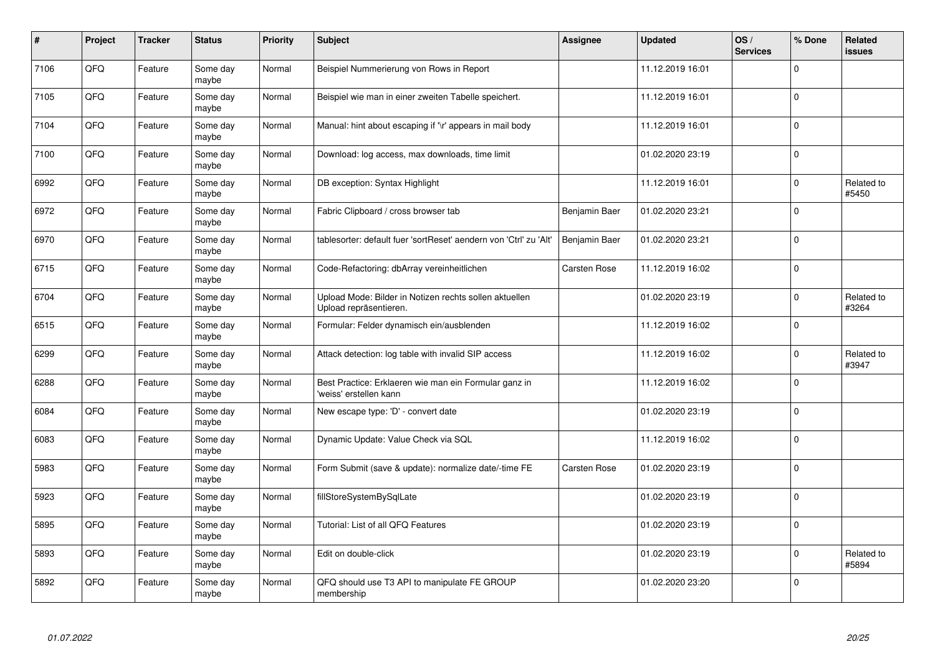| $\pmb{\#}$ | Project | <b>Tracker</b> | <b>Status</b>     | <b>Priority</b> | <b>Subject</b>                                                                   | Assignee      | <b>Updated</b>   | OS/<br><b>Services</b> | % Done      | Related<br><b>issues</b> |
|------------|---------|----------------|-------------------|-----------------|----------------------------------------------------------------------------------|---------------|------------------|------------------------|-------------|--------------------------|
| 7106       | QFQ     | Feature        | Some day<br>maybe | Normal          | Beispiel Nummerierung von Rows in Report                                         |               | 11.12.2019 16:01 |                        | $\Omega$    |                          |
| 7105       | QFQ     | Feature        | Some day<br>maybe | Normal          | Beispiel wie man in einer zweiten Tabelle speichert.                             |               | 11.12.2019 16:01 |                        | $\mathbf 0$ |                          |
| 7104       | QFQ     | Feature        | Some day<br>maybe | Normal          | Manual: hint about escaping if '\r' appears in mail body                         |               | 11.12.2019 16:01 |                        | $\Omega$    |                          |
| 7100       | QFQ     | Feature        | Some day<br>maybe | Normal          | Download: log access, max downloads, time limit                                  |               | 01.02.2020 23:19 |                        | $\Omega$    |                          |
| 6992       | QFQ     | Feature        | Some day<br>maybe | Normal          | DB exception: Syntax Highlight                                                   |               | 11.12.2019 16:01 |                        | 0           | Related to<br>#5450      |
| 6972       | QFQ     | Feature        | Some day<br>maybe | Normal          | Fabric Clipboard / cross browser tab                                             | Benjamin Baer | 01.02.2020 23:21 |                        | $\Omega$    |                          |
| 6970       | QFQ     | Feature        | Some day<br>maybe | Normal          | tablesorter: default fuer 'sortReset' aendern von 'Ctrl' zu 'Alt'                | Benjamin Baer | 01.02.2020 23:21 |                        | $\mathbf 0$ |                          |
| 6715       | QFQ     | Feature        | Some day<br>maybe | Normal          | Code-Refactoring: dbArray vereinheitlichen                                       | Carsten Rose  | 11.12.2019 16:02 |                        | $\mathbf 0$ |                          |
| 6704       | QFQ     | Feature        | Some day<br>maybe | Normal          | Upload Mode: Bilder in Notizen rechts sollen aktuellen<br>Upload repräsentieren. |               | 01.02.2020 23:19 |                        | $\Omega$    | Related to<br>#3264      |
| 6515       | QFQ     | Feature        | Some day<br>maybe | Normal          | Formular: Felder dynamisch ein/ausblenden                                        |               | 11.12.2019 16:02 |                        | 0           |                          |
| 6299       | QFQ     | Feature        | Some day<br>maybe | Normal          | Attack detection: log table with invalid SIP access                              |               | 11.12.2019 16:02 |                        | $\mathbf 0$ | Related to<br>#3947      |
| 6288       | QFQ     | Feature        | Some day<br>maybe | Normal          | Best Practice: Erklaeren wie man ein Formular ganz in<br>'weiss' erstellen kann  |               | 11.12.2019 16:02 |                        | $\Omega$    |                          |
| 6084       | QFQ     | Feature        | Some day<br>maybe | Normal          | New escape type: 'D' - convert date                                              |               | 01.02.2020 23:19 |                        | $\mathbf 0$ |                          |
| 6083       | QFQ     | Feature        | Some day<br>maybe | Normal          | Dynamic Update: Value Check via SQL                                              |               | 11.12.2019 16:02 |                        | $\mathbf 0$ |                          |
| 5983       | QFQ     | Feature        | Some day<br>maybe | Normal          | Form Submit (save & update): normalize date/-time FE                             | Carsten Rose  | 01.02.2020 23:19 |                        | $\Omega$    |                          |
| 5923       | QFQ     | Feature        | Some day<br>maybe | Normal          | fillStoreSystemBySqlLate                                                         |               | 01.02.2020 23:19 |                        | $\Omega$    |                          |
| 5895       | QFQ     | Feature        | Some day<br>maybe | Normal          | Tutorial: List of all QFQ Features                                               |               | 01.02.2020 23:19 |                        | $\mathbf 0$ |                          |
| 5893       | QFQ     | Feature        | Some day<br>maybe | Normal          | Edit on double-click                                                             |               | 01.02.2020 23:19 |                        | $\Omega$    | Related to<br>#5894      |
| 5892       | QFQ     | Feature        | Some day<br>maybe | Normal          | QFQ should use T3 API to manipulate FE GROUP<br>membership                       |               | 01.02.2020 23:20 |                        | $\Omega$    |                          |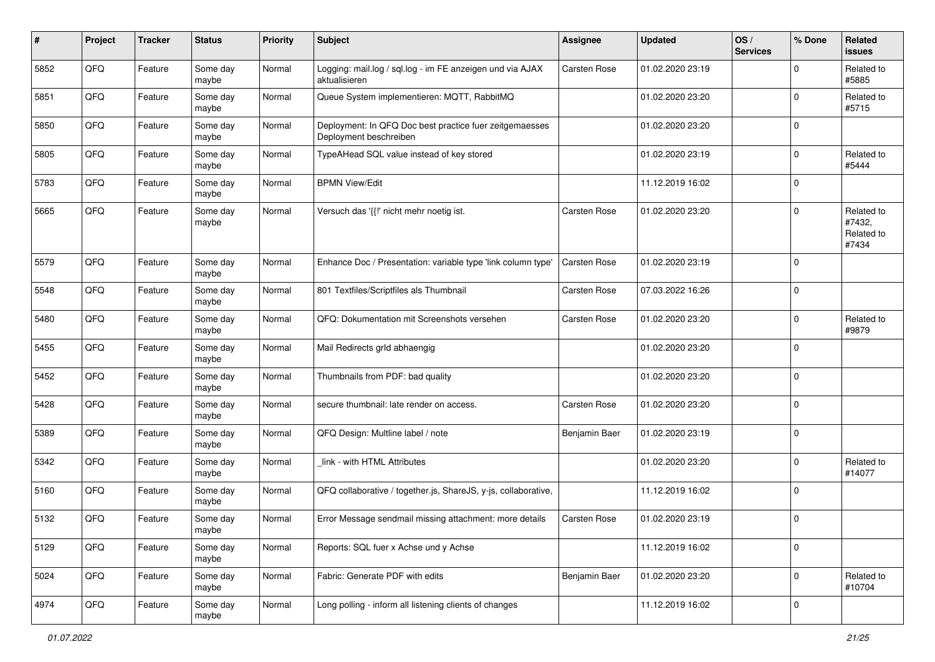| #    | Project | <b>Tracker</b> | <b>Status</b>     | <b>Priority</b> | <b>Subject</b>                                                                    | <b>Assignee</b>     | <b>Updated</b>   | OS/<br><b>Services</b> | % Done              | Related<br>issues                           |
|------|---------|----------------|-------------------|-----------------|-----------------------------------------------------------------------------------|---------------------|------------------|------------------------|---------------------|---------------------------------------------|
| 5852 | QFQ     | Feature        | Some day<br>maybe | Normal          | Logging: mail.log / sql.log - im FE anzeigen und via AJAX<br>aktualisieren        | <b>Carsten Rose</b> | 01.02.2020 23:19 |                        | $\mathbf 0$         | Related to<br>#5885                         |
| 5851 | QFQ     | Feature        | Some day<br>maybe | Normal          | Queue System implementieren: MQTT, RabbitMQ                                       |                     | 01.02.2020 23:20 |                        | $\mathbf 0$         | Related to<br>#5715                         |
| 5850 | QFQ     | Feature        | Some day<br>maybe | Normal          | Deployment: In QFQ Doc best practice fuer zeitgemaesses<br>Deployment beschreiben |                     | 01.02.2020 23:20 |                        | $\mathbf 0$         |                                             |
| 5805 | QFQ     | Feature        | Some day<br>maybe | Normal          | TypeAHead SQL value instead of key stored                                         |                     | 01.02.2020 23:19 |                        | $\mathbf 0$         | Related to<br>#5444                         |
| 5783 | QFQ     | Feature        | Some day<br>maybe | Normal          | <b>BPMN View/Edit</b>                                                             |                     | 11.12.2019 16:02 |                        | $\mathbf 0$         |                                             |
| 5665 | QFQ     | Feature        | Some day<br>maybe | Normal          | Versuch das '{{!' nicht mehr noetig ist.                                          | <b>Carsten Rose</b> | 01.02.2020 23:20 |                        | $\mathbf 0$         | Related to<br>#7432,<br>Related to<br>#7434 |
| 5579 | QFQ     | Feature        | Some day<br>maybe | Normal          | Enhance Doc / Presentation: variable type 'link column type'                      | <b>Carsten Rose</b> | 01.02.2020 23:19 |                        | $\mathbf 0$         |                                             |
| 5548 | QFQ     | Feature        | Some day<br>maybe | Normal          | 801 Textfiles/Scriptfiles als Thumbnail                                           | <b>Carsten Rose</b> | 07.03.2022 16:26 |                        | $\mathbf 0$         |                                             |
| 5480 | QFQ     | Feature        | Some day<br>maybe | Normal          | QFQ: Dokumentation mit Screenshots versehen                                       | <b>Carsten Rose</b> | 01.02.2020 23:20 |                        | $\mathbf 0$         | Related to<br>#9879                         |
| 5455 | QFQ     | Feature        | Some day<br>maybe | Normal          | Mail Redirects grld abhaengig                                                     |                     | 01.02.2020 23:20 |                        | $\mathbf 0$         |                                             |
| 5452 | QFQ     | Feature        | Some day<br>maybe | Normal          | Thumbnails from PDF: bad quality                                                  |                     | 01.02.2020 23:20 |                        | $\mathbf 0$         |                                             |
| 5428 | QFQ     | Feature        | Some day<br>maybe | Normal          | secure thumbnail: late render on access.                                          | Carsten Rose        | 01.02.2020 23:20 |                        | $\mathbf 0$         |                                             |
| 5389 | QFQ     | Feature        | Some day<br>maybe | Normal          | QFQ Design: Multline label / note                                                 | Benjamin Baer       | 01.02.2020 23:19 |                        | $\mathbf 0$         |                                             |
| 5342 | QFQ     | Feature        | Some day<br>maybe | Normal          | link - with HTML Attributes                                                       |                     | 01.02.2020 23:20 |                        | $\mathbf 0$         | Related to<br>#14077                        |
| 5160 | QFQ     | Feature        | Some day<br>maybe | Normal          | QFQ collaborative / together.js, ShareJS, y-js, collaborative,                    |                     | 11.12.2019 16:02 |                        | $\mathbf 0$         |                                             |
| 5132 | QFQ     | Feature        | Some day<br>maybe | Normal          | Error Message sendmail missing attachment: more details                           | <b>Carsten Rose</b> | 01.02.2020 23:19 |                        | $\mathbf 0$         |                                             |
| 5129 | QFQ     | Feature        | Some day<br>maybe | Normal          | Reports: SQL fuer x Achse und y Achse                                             |                     | 11.12.2019 16:02 |                        | $\mathbf 0$         |                                             |
| 5024 | QFQ     | Feature        | Some day<br>maybe | Normal          | Fabric: Generate PDF with edits                                                   | Benjamin Baer       | 01.02.2020 23:20 |                        | 0                   | Related to<br>#10704                        |
| 4974 | QFG     | Feature        | Some day<br>maybe | Normal          | Long polling - inform all listening clients of changes                            |                     | 11.12.2019 16:02 |                        | $\mathsf{O}\xspace$ |                                             |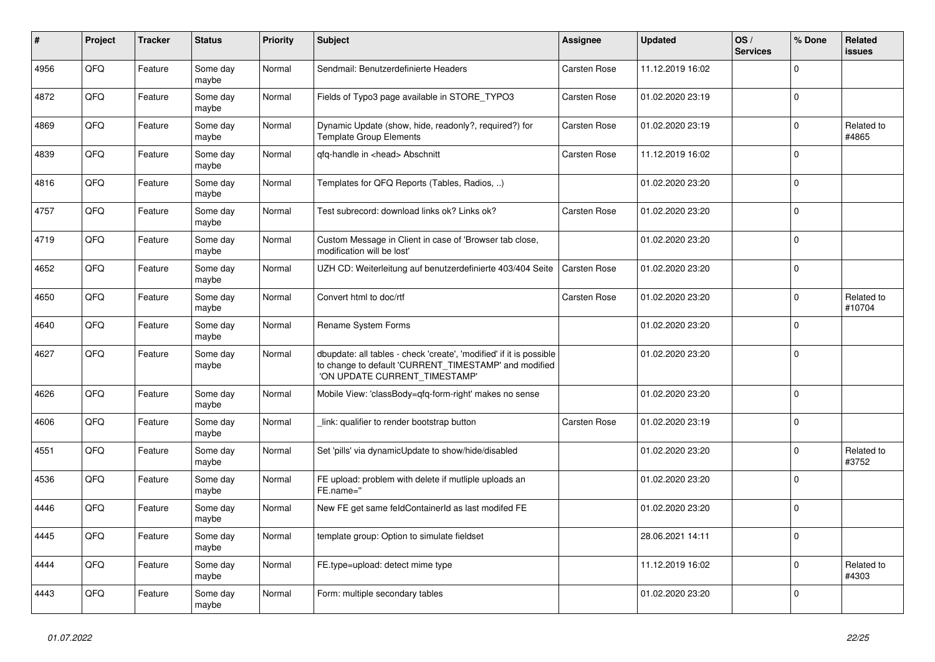| #    | Project | <b>Tracker</b> | <b>Status</b>     | <b>Priority</b> | <b>Subject</b>                                                                                                                                                | Assignee            | <b>Updated</b>   | OS/<br><b>Services</b> | % Done       | Related<br>issues    |
|------|---------|----------------|-------------------|-----------------|---------------------------------------------------------------------------------------------------------------------------------------------------------------|---------------------|------------------|------------------------|--------------|----------------------|
| 4956 | QFQ     | Feature        | Some day<br>maybe | Normal          | Sendmail: Benutzerdefinierte Headers                                                                                                                          | <b>Carsten Rose</b> | 11.12.2019 16:02 |                        | $\Omega$     |                      |
| 4872 | QFQ     | Feature        | Some day<br>maybe | Normal          | Fields of Typo3 page available in STORE_TYPO3                                                                                                                 | Carsten Rose        | 01.02.2020 23:19 |                        | $\mathbf 0$  |                      |
| 4869 | QFQ     | Feature        | Some day<br>maybe | Normal          | Dynamic Update (show, hide, readonly?, required?) for<br><b>Template Group Elements</b>                                                                       | <b>Carsten Rose</b> | 01.02.2020 23:19 |                        | $\Omega$     | Related to<br>#4865  |
| 4839 | QFQ     | Feature        | Some day<br>maybe | Normal          | gfg-handle in <head> Abschnitt</head>                                                                                                                         | <b>Carsten Rose</b> | 11.12.2019 16:02 |                        | $\Omega$     |                      |
| 4816 | QFQ     | Feature        | Some day<br>maybe | Normal          | Templates for QFQ Reports (Tables, Radios, )                                                                                                                  |                     | 01.02.2020 23:20 |                        | 0            |                      |
| 4757 | QFQ     | Feature        | Some day<br>maybe | Normal          | Test subrecord: download links ok? Links ok?                                                                                                                  | <b>Carsten Rose</b> | 01.02.2020 23:20 |                        | $\mathbf{0}$ |                      |
| 4719 | QFQ     | Feature        | Some day<br>maybe | Normal          | Custom Message in Client in case of 'Browser tab close,<br>modification will be lost'                                                                         |                     | 01.02.2020 23:20 |                        | $\mathbf 0$  |                      |
| 4652 | QFQ     | Feature        | Some day<br>maybe | Normal          | UZH CD: Weiterleitung auf benutzerdefinierte 403/404 Seite                                                                                                    | <b>Carsten Rose</b> | 01.02.2020 23:20 |                        | $\mathbf 0$  |                      |
| 4650 | QFQ     | Feature        | Some day<br>maybe | Normal          | Convert html to doc/rtf                                                                                                                                       | <b>Carsten Rose</b> | 01.02.2020 23:20 |                        | $\mathbf 0$  | Related to<br>#10704 |
| 4640 | QFQ     | Feature        | Some day<br>maybe | Normal          | Rename System Forms                                                                                                                                           |                     | 01.02.2020 23:20 |                        | $\Omega$     |                      |
| 4627 | QFQ     | Feature        | Some day<br>maybe | Normal          | dbupdate: all tables - check 'create', 'modified' if it is possible<br>to change to default 'CURRENT_TIMESTAMP' and modified<br>'ON UPDATE CURRENT_TIMESTAMP' |                     | 01.02.2020 23:20 |                        | 0            |                      |
| 4626 | QFQ     | Feature        | Some day<br>maybe | Normal          | Mobile View: 'classBody=qfq-form-right' makes no sense                                                                                                        |                     | 01.02.2020 23:20 |                        | $\Omega$     |                      |
| 4606 | QFQ     | Feature        | Some day<br>maybe | Normal          | link: qualifier to render bootstrap button                                                                                                                    | <b>Carsten Rose</b> | 01.02.2020 23:19 |                        | $\mathbf{0}$ |                      |
| 4551 | QFQ     | Feature        | Some day<br>maybe | Normal          | Set 'pills' via dynamicUpdate to show/hide/disabled                                                                                                           |                     | 01.02.2020 23:20 |                        | $\Omega$     | Related to<br>#3752  |
| 4536 | QFQ     | Feature        | Some day<br>maybe | Normal          | FE upload: problem with delete if mutliple uploads an<br>FE.name="                                                                                            |                     | 01.02.2020 23:20 |                        | $\mathbf 0$  |                      |
| 4446 | QFQ     | Feature        | Some day<br>maybe | Normal          | New FE get same feldContainerId as last modifed FE                                                                                                            |                     | 01.02.2020 23:20 |                        | $\mathbf 0$  |                      |
| 4445 | QFQ     | Feature        | Some day<br>maybe | Normal          | template group: Option to simulate fieldset                                                                                                                   |                     | 28.06.2021 14:11 |                        | $\Omega$     |                      |
| 4444 | QFQ     | Feature        | Some day<br>maybe | Normal          | FE.type=upload: detect mime type                                                                                                                              |                     | 11.12.2019 16:02 |                        | $\mathbf 0$  | Related to<br>#4303  |
| 4443 | QFQ     | Feature        | Some day<br>maybe | Normal          | Form: multiple secondary tables                                                                                                                               |                     | 01.02.2020 23:20 |                        | $\mathbf 0$  |                      |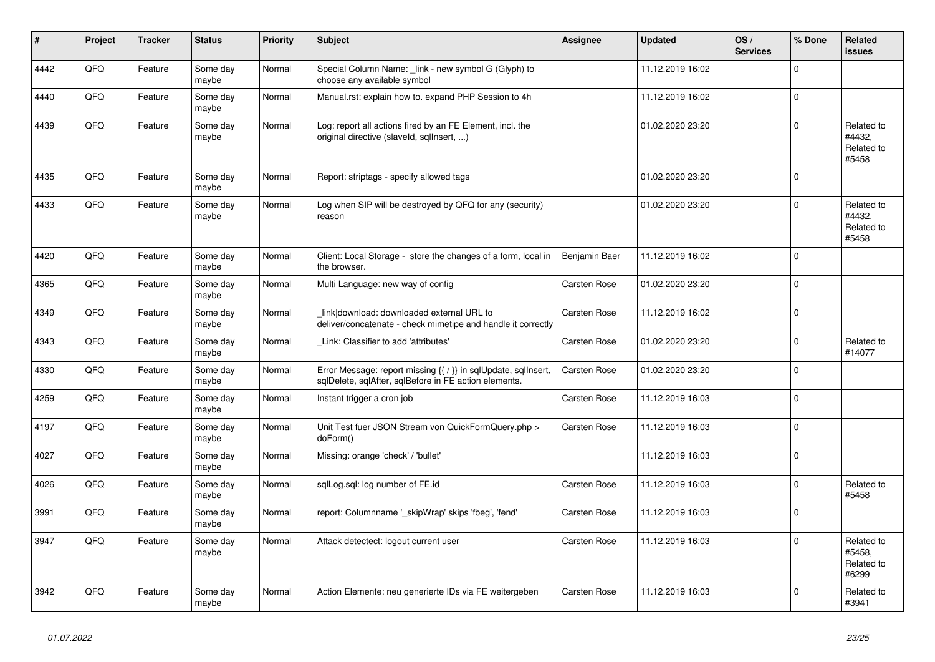| #    | Project | <b>Tracker</b> | <b>Status</b>     | <b>Priority</b> | <b>Subject</b>                                                                                                          | <b>Assignee</b>     | <b>Updated</b>   | OS/<br><b>Services</b> | % Done         | Related<br><b>issues</b>                    |
|------|---------|----------------|-------------------|-----------------|-------------------------------------------------------------------------------------------------------------------------|---------------------|------------------|------------------------|----------------|---------------------------------------------|
| 4442 | QFQ     | Feature        | Some day<br>maybe | Normal          | Special Column Name: link - new symbol G (Glyph) to<br>choose any available symbol                                      |                     | 11.12.2019 16:02 |                        | $\Omega$       |                                             |
| 4440 | QFQ     | Feature        | Some day<br>maybe | Normal          | Manual.rst: explain how to. expand PHP Session to 4h                                                                    |                     | 11.12.2019 16:02 |                        | $\mathbf 0$    |                                             |
| 4439 | QFQ     | Feature        | Some day<br>maybe | Normal          | Log: report all actions fired by an FE Element, incl. the<br>original directive (slaveld, sqllnsert, )                  |                     | 01.02.2020 23:20 |                        | $\Omega$       | Related to<br>#4432,<br>Related to<br>#5458 |
| 4435 | QFQ     | Feature        | Some day<br>maybe | Normal          | Report: striptags - specify allowed tags                                                                                |                     | 01.02.2020 23:20 |                        | 0              |                                             |
| 4433 | QFQ     | Feature        | Some day<br>maybe | Normal          | Log when SIP will be destroyed by QFQ for any (security)<br>reason                                                      |                     | 01.02.2020 23:20 |                        | $\mathbf 0$    | Related to<br>#4432.<br>Related to<br>#5458 |
| 4420 | QFQ     | Feature        | Some day<br>maybe | Normal          | Client: Local Storage - store the changes of a form, local in<br>the browser.                                           | Benjamin Baer       | 11.12.2019 16:02 |                        | $\Omega$       |                                             |
| 4365 | QFQ     | Feature        | Some day<br>maybe | Normal          | Multi Language: new way of config                                                                                       | <b>Carsten Rose</b> | 01.02.2020 23:20 |                        | $\mathbf{0}$   |                                             |
| 4349 | QFQ     | Feature        | Some day<br>maybe | Normal          | link download: downloaded external URL to<br>deliver/concatenate - check mimetipe and handle it correctly               | <b>Carsten Rose</b> | 11.12.2019 16:02 |                        | $\Omega$       |                                             |
| 4343 | QFQ     | Feature        | Some day<br>maybe | Normal          | Link: Classifier to add 'attributes'                                                                                    | <b>Carsten Rose</b> | 01.02.2020 23:20 |                        | $\mathbf{0}$   | Related to<br>#14077                        |
| 4330 | QFQ     | Feature        | Some day<br>maybe | Normal          | Error Message: report missing {{ / }} in sqlUpdate, sqlInsert,<br>sqlDelete, sqlAfter, sqlBefore in FE action elements. | Carsten Rose        | 01.02.2020 23:20 |                        | $\overline{0}$ |                                             |
| 4259 | QFQ     | Feature        | Some day<br>maybe | Normal          | Instant trigger a cron job                                                                                              | <b>Carsten Rose</b> | 11.12.2019 16:03 |                        | $\mathbf 0$    |                                             |
| 4197 | QFQ     | Feature        | Some day<br>maybe | Normal          | Unit Test fuer JSON Stream von QuickFormQuery.php ><br>doForm()                                                         | <b>Carsten Rose</b> | 11.12.2019 16:03 |                        | $\mathbf 0$    |                                             |
| 4027 | QFQ     | Feature        | Some day<br>maybe | Normal          | Missing: orange 'check' / 'bullet'                                                                                      |                     | 11.12.2019 16:03 |                        | $\mathbf{0}$   |                                             |
| 4026 | QFQ     | Feature        | Some day<br>maybe | Normal          | sqlLog.sql: log number of FE.id                                                                                         | <b>Carsten Rose</b> | 11.12.2019 16:03 |                        | $\mathbf 0$    | Related to<br>#5458                         |
| 3991 | QFQ     | Feature        | Some day<br>maybe | Normal          | report: Columnname '_skipWrap' skips 'fbeg', 'fend'                                                                     | <b>Carsten Rose</b> | 11.12.2019 16:03 |                        | $\Omega$       |                                             |
| 3947 | QFQ     | Feature        | Some day<br>maybe | Normal          | Attack detectect: logout current user                                                                                   | <b>Carsten Rose</b> | 11.12.2019 16:03 |                        | $\Omega$       | Related to<br>#5458.<br>Related to<br>#6299 |
| 3942 | QFQ     | Feature        | Some day<br>maybe | Normal          | Action Elemente: neu generierte IDs via FE weitergeben                                                                  | <b>Carsten Rose</b> | 11.12.2019 16:03 |                        | $\Omega$       | Related to<br>#3941                         |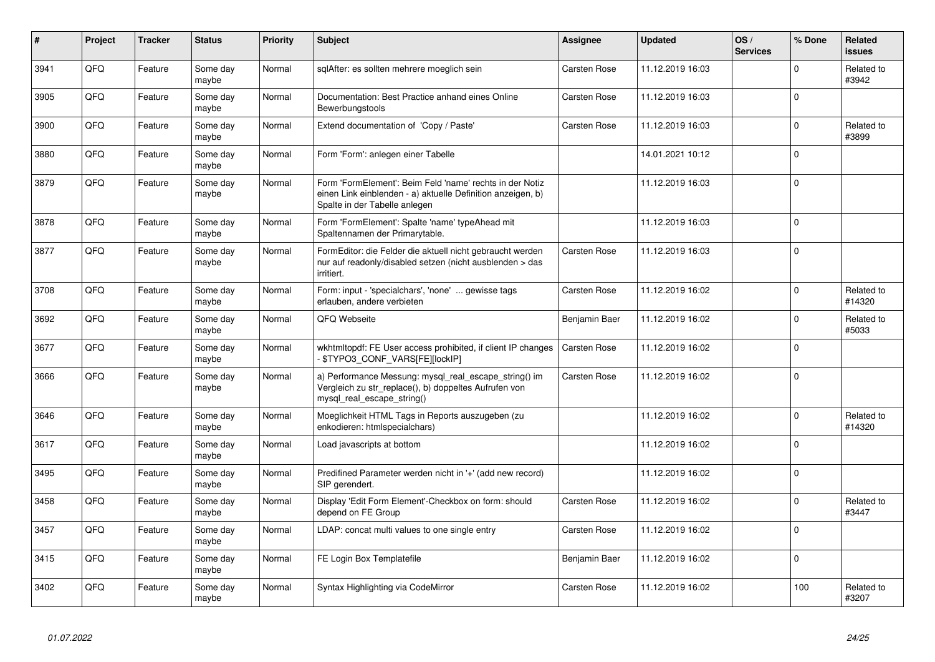| $\sharp$ | Project | <b>Tracker</b> | <b>Status</b>     | <b>Priority</b> | <b>Subject</b>                                                                                                                                           | Assignee            | <b>Updated</b>   | OS/<br><b>Services</b> | % Done      | Related<br><b>issues</b> |
|----------|---------|----------------|-------------------|-----------------|----------------------------------------------------------------------------------------------------------------------------------------------------------|---------------------|------------------|------------------------|-------------|--------------------------|
| 3941     | QFQ     | Feature        | Some day<br>maybe | Normal          | sqlAfter: es sollten mehrere moeglich sein                                                                                                               | Carsten Rose        | 11.12.2019 16:03 |                        | $\mathbf 0$ | Related to<br>#3942      |
| 3905     | QFQ     | Feature        | Some day<br>maybe | Normal          | Documentation: Best Practice anhand eines Online<br>Bewerbungstools                                                                                      | <b>Carsten Rose</b> | 11.12.2019 16:03 |                        | $\mathbf 0$ |                          |
| 3900     | QFQ     | Feature        | Some day<br>maybe | Normal          | Extend documentation of 'Copy / Paste'                                                                                                                   | Carsten Rose        | 11.12.2019 16:03 |                        | $\Omega$    | Related to<br>#3899      |
| 3880     | QFQ     | Feature        | Some day<br>maybe | Normal          | Form 'Form': anlegen einer Tabelle                                                                                                                       |                     | 14.01.2021 10:12 |                        | $\Omega$    |                          |
| 3879     | QFQ     | Feature        | Some day<br>maybe | Normal          | Form 'FormElement': Beim Feld 'name' rechts in der Notiz<br>einen Link einblenden - a) aktuelle Definition anzeigen, b)<br>Spalte in der Tabelle anlegen |                     | 11.12.2019 16:03 |                        | $\Omega$    |                          |
| 3878     | QFQ     | Feature        | Some day<br>maybe | Normal          | Form 'FormElement': Spalte 'name' typeAhead mit<br>Spaltennamen der Primarytable.                                                                        |                     | 11.12.2019 16:03 |                        | $\Omega$    |                          |
| 3877     | QFQ     | Feature        | Some day<br>maybe | Normal          | FormEditor: die Felder die aktuell nicht gebraucht werden<br>nur auf readonly/disabled setzen (nicht ausblenden > das<br>irritiert.                      | <b>Carsten Rose</b> | 11.12.2019 16:03 |                        | $\mathbf 0$ |                          |
| 3708     | QFQ     | Feature        | Some day<br>maybe | Normal          | Form: input - 'specialchars', 'none'  gewisse tags<br>erlauben, andere verbieten                                                                         | Carsten Rose        | 11.12.2019 16:02 |                        | $\Omega$    | Related to<br>#14320     |
| 3692     | QFQ     | Feature        | Some day<br>maybe | Normal          | QFQ Webseite                                                                                                                                             | Benjamin Baer       | 11.12.2019 16:02 |                        | $\mathbf 0$ | Related to<br>#5033      |
| 3677     | QFQ     | Feature        | Some day<br>maybe | Normal          | wkhtmitopdf: FE User access prohibited, if client IP changes<br>\$TYPO3_CONF_VARS[FE][lockIP]                                                            | Carsten Rose        | 11.12.2019 16:02 |                        | $\Omega$    |                          |
| 3666     | QFQ     | Feature        | Some day<br>maybe | Normal          | a) Performance Messung: mysql_real_escape_string() im<br>Vergleich zu str_replace(), b) doppeltes Aufrufen von<br>mysql real escape string()             | Carsten Rose        | 11.12.2019 16:02 |                        | $\Omega$    |                          |
| 3646     | QFQ     | Feature        | Some day<br>maybe | Normal          | Moeglichkeit HTML Tags in Reports auszugeben (zu<br>enkodieren: htmlspecialchars)                                                                        |                     | 11.12.2019 16:02 |                        | $\Omega$    | Related to<br>#14320     |
| 3617     | QFQ     | Feature        | Some day<br>maybe | Normal          | Load javascripts at bottom                                                                                                                               |                     | 11.12.2019 16:02 |                        | $\Omega$    |                          |
| 3495     | QFQ     | Feature        | Some day<br>maybe | Normal          | Predifined Parameter werden nicht in '+' (add new record)<br>SIP gerendert.                                                                              |                     | 11.12.2019 16:02 |                        | $\mathbf 0$ |                          |
| 3458     | QFQ     | Feature        | Some day<br>maybe | Normal          | Display 'Edit Form Element'-Checkbox on form: should<br>depend on FE Group                                                                               | Carsten Rose        | 11.12.2019 16:02 |                        | $\Omega$    | Related to<br>#3447      |
| 3457     | QFQ     | Feature        | Some day<br>maybe | Normal          | LDAP: concat multi values to one single entry                                                                                                            | <b>Carsten Rose</b> | 11.12.2019 16:02 |                        | $\mathbf 0$ |                          |
| 3415     | QFQ     | Feature        | Some day<br>maybe | Normal          | FE Login Box Templatefile                                                                                                                                | Benjamin Baer       | 11.12.2019 16:02 |                        | $\mathbf 0$ |                          |
| 3402     | QFQ     | Feature        | Some day<br>maybe | Normal          | Syntax Highlighting via CodeMirror                                                                                                                       | Carsten Rose        | 11.12.2019 16:02 |                        | 100         | Related to<br>#3207      |